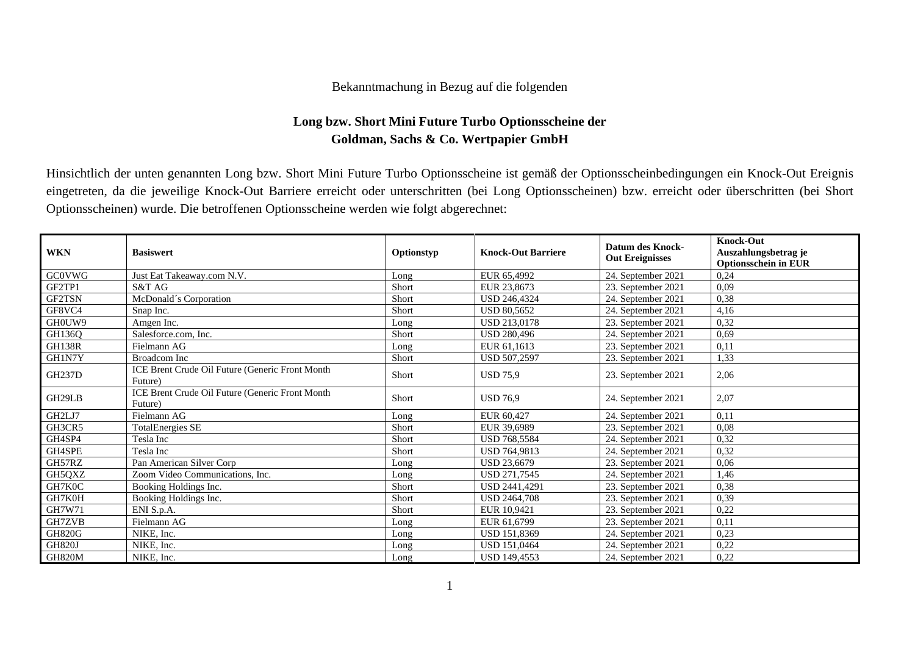## Bekanntmachung in Bezug auf die folgenden

## **Long bzw. Short Mini Future Turbo Optionsscheine der Goldman, Sachs & Co. Wertpapier GmbH**

Hinsichtlich der unten genannten Long bzw. Short Mini Future Turbo Optionsscheine ist gemäß der Optionsscheinbedingungen ein Knock-Out Ereignis eingetreten, da die jeweilige Knock-Out Barriere erreicht oder unterschritten (bei Long Optionsscheinen) bzw. erreicht oder überschritten (bei Short Optionsscheinen) wurde. Die betroffenen Optionsscheine werden wie folgt abgerechnet:

| <b>WKN</b>    | <b>Basiswert</b>                                           | Optionstyp | <b>Knock-Out Barriere</b> | <b>Datum des Knock-</b><br><b>Out Ereignisses</b> | <b>Knock-Out</b><br>Auszahlungsbetrag je<br><b>Optionsschein in EUR</b> |
|---------------|------------------------------------------------------------|------------|---------------------------|---------------------------------------------------|-------------------------------------------------------------------------|
| <b>GC0VWG</b> | Just Eat Takeaway.com N.V.                                 | Long       | EUR 65,4992               | 24. September 2021                                | 0,24                                                                    |
| GF2TP1        | S&T AG                                                     | Short      | EUR 23,8673               | 23. September 2021                                | 0,09                                                                    |
| GF2TSN        | McDonald's Corporation                                     | Short      | <b>USD 246,4324</b>       | 24. September 2021                                | 0,38                                                                    |
| GF8VC4        | Snap Inc.                                                  | Short      | <b>USD 80.5652</b>        | 24. September 2021                                | 4,16                                                                    |
| GH0UW9        | Amgen Inc.                                                 | Long       | USD 213,0178              | 23. September 2021                                | 0,32                                                                    |
| GH136Q        | Salesforce.com. Inc.                                       | Short      | <b>USD 280,496</b>        | 24. September 2021                                | 0,69                                                                    |
| <b>GH138R</b> | Fielmann AG                                                | Long       | EUR 61,1613               | 23. September 2021                                | 0,11                                                                    |
| GH1N7Y        | <b>Broadcom</b> Inc                                        | Short      | USD 507,2597              | 23. September 2021                                | 1,33                                                                    |
| <b>GH237D</b> | ICE Brent Crude Oil Future (Generic Front Month<br>Future) | Short      | <b>USD 75,9</b>           | 23. September 2021                                | 2,06                                                                    |
| GH29LB        | ICE Brent Crude Oil Future (Generic Front Month<br>Future) | Short      | <b>USD 76.9</b>           | 24. September 2021                                | 2,07                                                                    |
| GH2LJ7        | Fielmann AG                                                | Long       | EUR 60,427                | 24. September 2021                                | 0,11                                                                    |
| GH3CR5        | <b>TotalEnergies SE</b>                                    | Short      | EUR 39,6989               | 23. September 2021                                | 0,08                                                                    |
| GH4SP4        | Tesla Inc                                                  | Short      | <b>USD 768.5584</b>       | 24. September 2021                                | 0,32                                                                    |
| GH4SPE        | Tesla Inc                                                  | Short      | USD 764,9813              | 24. September 2021                                | 0,32                                                                    |
| GH57RZ        | Pan American Silver Corp                                   | Long       | USD 23,6679               | 23. September 2021                                | 0,06                                                                    |
| GH5QXZ        | Zoom Video Communications, Inc.                            | Long       | <b>USD 271.7545</b>       | 24. September 2021                                | 1,46                                                                    |
| GH7K0C        | Booking Holdings Inc.                                      | Short      | <b>USD 2441.4291</b>      | 23. September 2021                                | 0,38                                                                    |
| GH7K0H        | Booking Holdings Inc.                                      | Short      | <b>USD 2464,708</b>       | 23. September 2021                                | 0,39                                                                    |
| GH7W71        | ENI S.p.A.                                                 | Short      | EUR 10.9421               | 23. September 2021                                | 0,22                                                                    |
| <b>GH7ZVB</b> | Fielmann AG                                                | Long       | EUR 61,6799               | 23. September 2021                                | 0,11                                                                    |
| <b>GH820G</b> | NIKE, Inc.                                                 | Long       | USD 151,8369              | 24. September 2021                                | 0,23                                                                    |
| <b>GH820J</b> | NIKE, Inc.                                                 | Long       | USD 151,0464              | 24. September 2021                                | 0,22                                                                    |
| GH820M        | NIKE, Inc.                                                 | Long       | <b>USD 149.4553</b>       | 24. September 2021                                | 0,22                                                                    |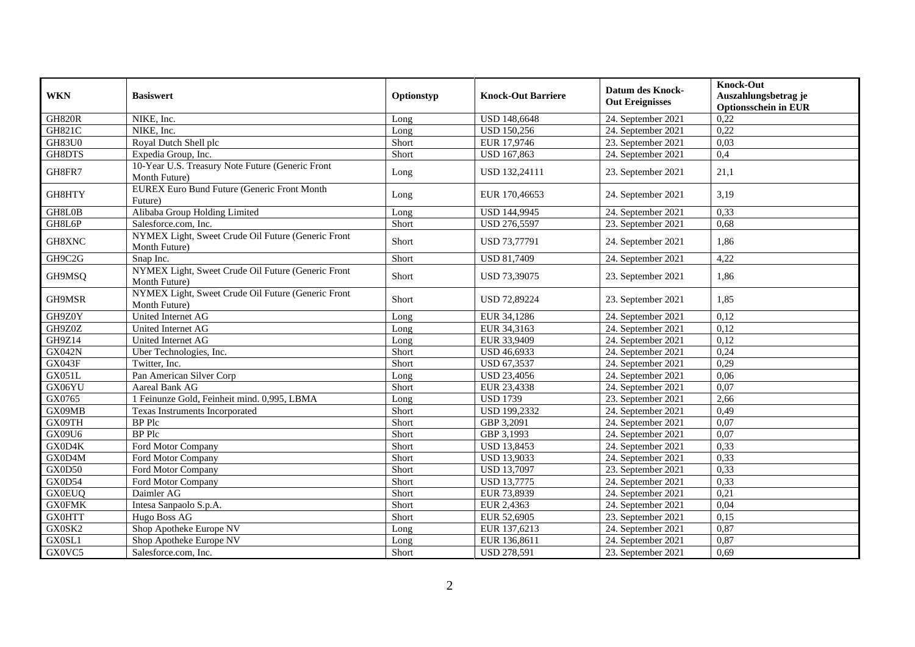| <b>WKN</b>    | <b>Basiswert</b>                                                    |            | <b>Knock-Out Barriere</b> | <b>Datum des Knock-</b> | <b>Knock-Out</b><br>Auszahlungsbetrag je |
|---------------|---------------------------------------------------------------------|------------|---------------------------|-------------------------|------------------------------------------|
|               |                                                                     | Optionstyp |                           | <b>Out Ereignisses</b>  | <b>Optionsschein in EUR</b>              |
| <b>GH820R</b> | NIKE, Inc.                                                          | Long       | <b>USD 148,6648</b>       | 24. September 2021      | 0,22                                     |
| <b>GH821C</b> | NIKE, Inc.                                                          | Long       | <b>USD 150,256</b>        | 24. September 2021      | 0,22                                     |
| <b>GH83U0</b> | Royal Dutch Shell plc                                               | Short      | EUR 17,9746               | 23. September 2021      | 0,03                                     |
| GH8DTS        | Expedia Group, Inc.                                                 | Short      | <b>USD 167,863</b>        | 24. September 2021      | 0,4                                      |
| GH8FR7        | 10-Year U.S. Treasury Note Future (Generic Front<br>Month Future)   | Long       | USD 132,24111             | 23. September 2021      | 21,1                                     |
| GH8HTY        | <b>EUREX Euro Bund Future (Generic Front Month</b><br>Future)       | Long       | EUR 170,46653             | 24. September 2021      | 3,19                                     |
| GH8L0B        | Alibaba Group Holding Limited                                       | Long       | USD 144,9945              | 24. September 2021      | 0,33                                     |
| GH8L6P        | Salesforce.com, Inc.                                                | Short      | <b>USD 276,5597</b>       | 23. September 2021      | 0,68                                     |
| GH8XNC        | NYMEX Light, Sweet Crude Oil Future (Generic Front<br>Month Future) | Short      | USD 73,77791              | 24. September 2021      | 1,86                                     |
| GH9C2G        | Snap Inc.                                                           | Short      | <b>USD 81,7409</b>        | 24. September 2021      | 4,22                                     |
| GH9MSQ        | NYMEX Light, Sweet Crude Oil Future (Generic Front<br>Month Future) | Short      | USD 73,39075              | 23. September 2021      | 1,86                                     |
| GH9MSR        | NYMEX Light, Sweet Crude Oil Future (Generic Front<br>Month Future) | Short      | <b>USD 72,89224</b>       | 23. September 2021      | 1.85                                     |
| GH9Z0Y        | United Internet AG                                                  | Long       | EUR 34,1286               | 24. September 2021      | 0,12                                     |
| GH9Z0Z        | United Internet AG                                                  | Long       | EUR 34,3163               | 24. September 2021      | 0,12                                     |
| GH9Z14        | United Internet AG                                                  | Long       | EUR 33,9409               | 24. September 2021      | 0,12                                     |
| <b>GX042N</b> | Uber Technologies, Inc.                                             | Short      | <b>USD 46,6933</b>        | 24. September 2021      | 0,24                                     |
| <b>GX043F</b> | Twitter, Inc.                                                       | Short      | USD 67,3537               | 24. September 2021      | 0,29                                     |
| <b>GX051L</b> | Pan American Silver Corp                                            | Long       | <b>USD 23,4056</b>        | 24. September 2021      | 0,06                                     |
| GX06YU        | Aareal Bank AG                                                      | Short      | EUR 23,4338               | 24. September 2021      | 0,07                                     |
| GX0765        | 1 Feinunze Gold, Feinheit mind. 0,995, LBMA                         | Long       | <b>USD 1739</b>           | 23. September 2021      | 2,66                                     |
| GX09MB        | Texas Instruments Incorporated                                      | Short      | USD 199,2332              | 24. September 2021      | 0,49                                     |
| GX09TH        | <b>BP</b> Plc                                                       | Short      | GBP 3,2091                | 24. September 2021      | 0,07                                     |
| GX09U6        | <b>BP</b> Plc                                                       | Short      | GBP 3,1993                | 24. September 2021      | 0,07                                     |
| GX0D4K        | Ford Motor Company                                                  | Short      | <b>USD 13,8453</b>        | 24. September 2021      | 0,33                                     |
| GX0D4M        | Ford Motor Company                                                  | Short      | <b>USD 13,9033</b>        | 24. September 2021      | 0,33                                     |
| GX0D50        | Ford Motor Company                                                  | Short      | <b>USD 13,7097</b>        | 23. September 2021      | 0,33                                     |
| GX0D54        | Ford Motor Company                                                  | Short      | <b>USD 13,7775</b>        | 24. September 2021      | 0,33                                     |
| <b>GX0EUQ</b> | Daimler AG                                                          | Short      | EUR 73,8939               | 24. September 2021      | 0,21                                     |
| <b>GX0FMK</b> | Intesa Sanpaolo S.p.A.                                              | Short      | EUR 2,4363                | 24. September 2021      | 0,04                                     |
| <b>GX0HTT</b> | Hugo Boss AG                                                        | Short      | EUR 52,6905               | 23. September 2021      | 0,15                                     |
| GX0SK2        | Shop Apotheke Europe NV                                             | Long       | EUR 137,6213              | 24. September 2021      | 0,87                                     |
| GX0SL1        | Shop Apotheke Europe NV                                             | Long       | EUR 136,8611              | 24. September 2021      | 0,87                                     |
| GX0VC5        | Salesforce.com, Inc.                                                | Short      | <b>USD 278,591</b>        | 23. September 2021      | 0,69                                     |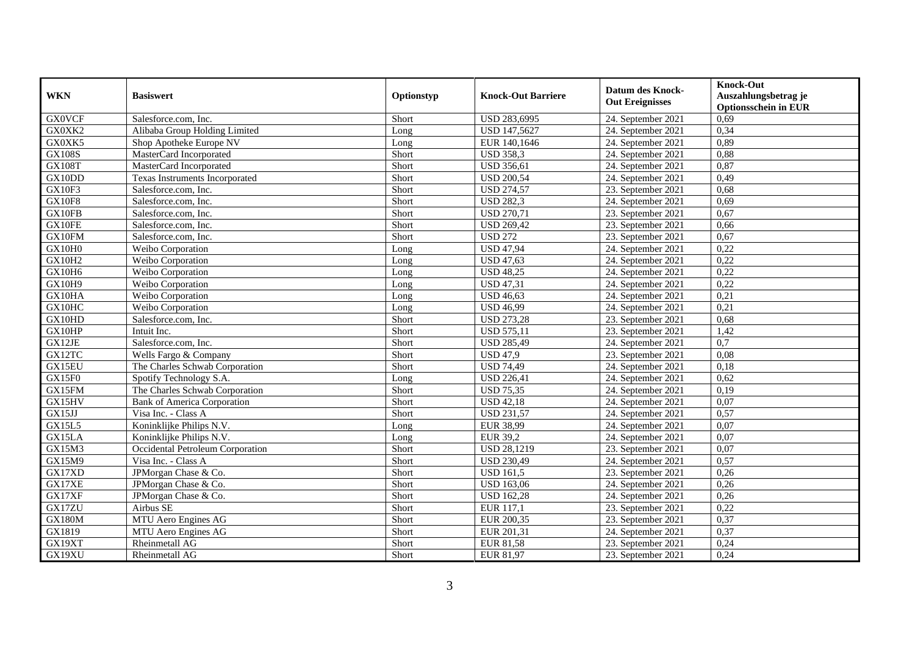| <b>WKN</b>    | <b>Basiswert</b>                   | Optionstyp | <b>Knock-Out Barriere</b> | <b>Datum des Knock-</b><br><b>Out Ereignisses</b> | <b>Knock-Out</b><br>Auszahlungsbetrag je<br><b>Optionsschein in EUR</b> |
|---------------|------------------------------------|------------|---------------------------|---------------------------------------------------|-------------------------------------------------------------------------|
| <b>GX0VCF</b> | Salesforce.com. Inc.               | Short      | USD 283,6995              | 24. September 2021                                | 0,69                                                                    |
| GX0XK2        | Alibaba Group Holding Limited      | Long       | <b>USD 147,5627</b>       | 24. September 2021                                | 0,34                                                                    |
| GX0XK5        | Shop Apotheke Europe NV            | Long       | EUR 140,1646              | 24. September 2021                                | 0,89                                                                    |
| <b>GX108S</b> | MasterCard Incorporated            | Short      | <b>USD 358,3</b>          | 24. September 2021                                | 0,88                                                                    |
| <b>GX108T</b> | MasterCard Incorporated            | Short      | <b>USD 356,61</b>         | 24. September 2021                                | 0,87                                                                    |
| GX10DD        | Texas Instruments Incorporated     | Short      | <b>USD 200,54</b>         | 24. September 2021                                | 0,49                                                                    |
| GX10F3        | Salesforce.com, Inc.               | Short      | <b>USD 274,57</b>         | 23. September 2021                                | 0,68                                                                    |
| <b>GX10F8</b> | Salesforce.com, Inc.               | Short      | <b>USD 282,3</b>          | 24. September 2021                                | 0,69                                                                    |
| GX10FB        | Salesforce.com, Inc.               | Short      | <b>USD 270,71</b>         | 23. September 2021                                | 0,67                                                                    |
| GX10FE        | Salesforce.com, Inc.               | Short      | <b>USD 269,42</b>         | 23. September 2021                                | 0,66                                                                    |
| GX10FM        | Salesforce.com, Inc.               | Short      | <b>USD 272</b>            | 23. September 2021                                | 0,67                                                                    |
| GX10H0        | Weibo Corporation                  | Long       | <b>USD 47,94</b>          | 24. September 2021                                | 0,22                                                                    |
| <b>GX10H2</b> | Weibo Corporation                  | Long       | <b>USD 47,63</b>          | 24. September 2021                                | 0,22                                                                    |
| GX10H6        | Weibo Corporation                  | Long       | <b>USD 48,25</b>          | 24. September 2021                                | 0,22                                                                    |
| GX10H9        | Weibo Corporation                  | Long       | <b>USD 47,31</b>          | 24. September 2021                                | 0,22                                                                    |
| GX10HA        | Weibo Corporation                  | Long       | <b>USD 46,63</b>          | 24. September 2021                                | 0,21                                                                    |
| GX10HC        | Weibo Corporation                  | Long       | <b>USD 46,99</b>          | 24. September 2021                                | 0,21                                                                    |
| GX10HD        | Salesforce.com. Inc.               | Short      | <b>USD 273,28</b>         | 23. September 2021                                | 0.68                                                                    |
| GX10HP        | Intuit Inc.                        | Short      | <b>USD 575,11</b>         | 23. September 2021                                | 1,42                                                                    |
| GX12JE        | Salesforce.com, Inc.               | Short      | <b>USD 285,49</b>         | 24. September 2021                                | 0,7                                                                     |
| GX12TC        | Wells Fargo & Company              | Short      | <b>USD 47,9</b>           | 23. September 2021                                | 0.08                                                                    |
| GX15EU        | The Charles Schwab Corporation     | Short      | <b>USD 74,49</b>          | 24. September 2021                                | 0,18                                                                    |
| GX15F0        | Spotify Technology S.A.            | Long       | <b>USD 226,41</b>         | 24. September 2021                                | 0,62                                                                    |
| GX15FM        | The Charles Schwab Corporation     | Short      | <b>USD 75,35</b>          | 24. September 2021                                | 0,19                                                                    |
| GX15HV        | <b>Bank of America Corporation</b> | Short      | <b>USD 42,18</b>          | 24. September 2021                                | 0,07                                                                    |
| GX15JJ        | Visa Inc. - Class A                | Short      | <b>USD 231,57</b>         | 24. September 2021                                | 0,57                                                                    |
| GX15L5        | Koninklijke Philips N.V.           | Long       | <b>EUR 38,99</b>          | 24. September 2021                                | 0,07                                                                    |
| GX15LA        | Koninklijke Philips N.V.           | Long       | <b>EUR 39,2</b>           | 24. September 2021                                | 0,07                                                                    |
| GX15M3        | Occidental Petroleum Corporation   | Short      | <b>USD 28,1219</b>        | 23. September 2021                                | 0,07                                                                    |
| GX15M9        | Visa Inc. - Class A                | Short      | <b>USD 230,49</b>         | 24. September 2021                                | 0,57                                                                    |
| GX17XD        | JPMorgan Chase & Co.               | Short      | <b>USD 161,5</b>          | 23. September 2021                                | 0,26                                                                    |
| GX17XE        | JPMorgan Chase & Co.               | Short      | <b>USD 163,06</b>         | 24. September 2021                                | 0,26                                                                    |
| GX17XF        | JPMorgan Chase & Co.               | Short      | <b>USD 162,28</b>         | 24. September 2021                                | 0,26                                                                    |
| GX17ZU        | Airbus SE                          | Short      | EUR 117,1                 | 23. September 2021                                | 0,22                                                                    |
| <b>GX180M</b> | MTU Aero Engines AG                | Short      | EUR 200,35                | 23. September 2021                                | 0,37                                                                    |
| GX1819        | MTU Aero Engines AG                | Short      | EUR 201,31                | 24. September 2021                                | 0,37                                                                    |
| GX19XT        | Rheinmetall AG                     | Short      | <b>EUR 81,58</b>          | 23. September 2021                                | 0,24                                                                    |
| GX19XU        | Rheinmetall AG                     | Short      | EUR 81,97                 | 23. September 2021                                | 0,24                                                                    |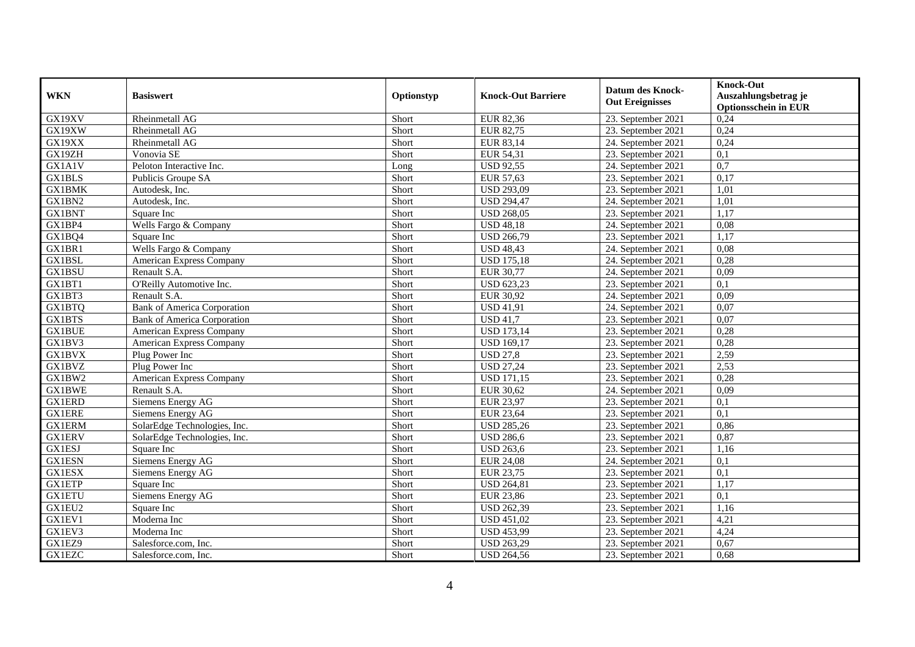| <b>WKN</b>    | <b>Basiswert</b>                   | Optionstyp | <b>Knock-Out Barriere</b> | <b>Datum des Knock-</b><br><b>Out Ereignisses</b> | <b>Knock-Out</b><br>Auszahlungsbetrag je<br><b>Optionsschein in EUR</b> |
|---------------|------------------------------------|------------|---------------------------|---------------------------------------------------|-------------------------------------------------------------------------|
| GX19XV        | Rheinmetall AG                     | Short      | <b>EUR 82,36</b>          | 23. September 2021                                | 0,24                                                                    |
| GX19XW        | Rheinmetall AG                     | Short      | EUR 82,75                 | 23. September 2021                                | 0,24                                                                    |
| GX19XX        | Rheinmetall AG                     | Short      | EUR 83,14                 | 24. September 2021                                | 0,24                                                                    |
| GX19ZH        | Vonovia SE                         | Short      | EUR 54,31                 | 23. September 2021                                | 0,1                                                                     |
| GX1A1V        | Peloton Interactive Inc.           | Long       | <b>USD 92,55</b>          | 24. September 2021                                | $\overline{0.7}$                                                        |
| <b>GX1BLS</b> | Publicis Groupe SA                 | Short      | EUR 57,63                 | 23. September 2021                                | 0,17                                                                    |
| <b>GX1BMK</b> | Autodesk, Inc.                     | Short      | <b>USD 293,09</b>         | 23. September 2021                                | 1,01                                                                    |
| GX1BN2        | Autodesk, Inc.                     | Short      | <b>USD 294,47</b>         | 24. September 2021                                | 1,01                                                                    |
| <b>GX1BNT</b> | Square Inc                         | Short      | <b>USD 268,05</b>         | 23. September 2021                                | 1,17                                                                    |
| GX1BP4        | Wells Fargo & Company              | Short      | <b>USD 48,18</b>          | 24. September 2021                                | 0,08                                                                    |
| GX1BQ4        | Square Inc                         | Short      | <b>USD 266,79</b>         | 23. September 2021                                | 1,17                                                                    |
| GX1BR1        | Wells Fargo & Company              | Short      | <b>USD 48,43</b>          | 24. September 2021                                | 0,08                                                                    |
| GX1BSL        | American Express Company           | Short      | <b>USD 175,18</b>         | 24. September 2021                                | 0,28                                                                    |
| GX1BSU        | Renault S.A.                       | Short      | <b>EUR 30,77</b>          | 24. September 2021                                | 0,09                                                                    |
| GX1BT1        | O'Reilly Automotive Inc.           | Short      | <b>USD 623,23</b>         | 23. September 2021                                | 0,1                                                                     |
| GX1BT3        | Renault S.A.                       | Short      | <b>EUR 30,92</b>          | 24. September 2021                                | 0,09                                                                    |
| GX1BTQ        | <b>Bank of America Corporation</b> | Short      | <b>USD 41,91</b>          | 24. September 2021                                | 0,07                                                                    |
| GX1BTS        | <b>Bank of America Corporation</b> | Short      | <b>USD 41,7</b>           | 23. September 2021                                | 0,07                                                                    |
| <b>GX1BUE</b> | American Express Company           | Short      | <b>USD</b> 173,14         | 23. September 2021                                | 0,28                                                                    |
| GX1BV3        | American Express Company           | Short      | <b>USD 169,17</b>         | 23. September 2021                                | 0,28                                                                    |
| <b>GX1BVX</b> | Plug Power Inc                     | Short      | <b>USD 27,8</b>           | 23. September 2021                                | 2,59                                                                    |
| GX1BVZ        | Plug Power Inc                     | Short      | <b>USD 27,24</b>          | 23. September 2021                                | 2,53                                                                    |
| GX1BW2        | American Express Company           | Short      | <b>USD 171,15</b>         | 23. September 2021                                | 0,28                                                                    |
| <b>GX1BWE</b> | Renault S.A.                       | Short      | <b>EUR 30,62</b>          | 24. September 2021                                | 0,09                                                                    |
| <b>GX1ERD</b> | Siemens Energy AG                  | Short      | <b>EUR 23,97</b>          | 23. September 2021                                | 0,1                                                                     |
| <b>GX1ERE</b> | Siemens Energy AG                  | Short      | <b>EUR 23,64</b>          | 23. September 2021                                | 0,1                                                                     |
| <b>GX1ERM</b> | SolarEdge Technologies, Inc.       | Short      | <b>USD 285,26</b>         | 23. September 2021                                | 0,86                                                                    |
| <b>GX1ERV</b> | SolarEdge Technologies, Inc.       | Short      | <b>USD 286,6</b>          | 23. September 2021                                | 0,87                                                                    |
| <b>GX1ESJ</b> | Square Inc                         | Short      | <b>USD 263,6</b>          | 23. September 2021                                | 1,16                                                                    |
| <b>GX1ESN</b> | Siemens Energy AG                  | Short      | <b>EUR 24,08</b>          | 24. September 2021                                | 0,1                                                                     |
| <b>GX1ESX</b> | Siemens Energy AG                  | Short      | <b>EUR 23,75</b>          | 23. September 2021                                | 0,1                                                                     |
| <b>GX1ETP</b> | Square Inc                         | Short      | <b>USD 264,81</b>         | 23. September 2021                                | 1,17                                                                    |
| <b>GX1ETU</b> | Siemens Energy AG                  | Short      | <b>EUR 23,86</b>          | 23. September 2021                                | 0,1                                                                     |
| GX1EU2        | Square Inc                         | Short      | <b>USD 262,39</b>         | 23. September 2021                                | 1,16                                                                    |
| GX1EV1        | Moderna Inc                        | Short      | <b>USD 451,02</b>         | 23. September 2021                                | 4,21                                                                    |
| GX1EV3        | Moderna Inc                        | Short      | <b>USD 453,99</b>         | 23. September 2021                                | 4,24                                                                    |
| GX1EZ9        | Salesforce.com, Inc.               | Short      | <b>USD 263,29</b>         | 23. September 2021                                | 0,67                                                                    |
| <b>GX1EZC</b> | Salesforce.com, Inc.               | Short      | <b>USD 264,56</b>         | 23. September 2021                                | 0,68                                                                    |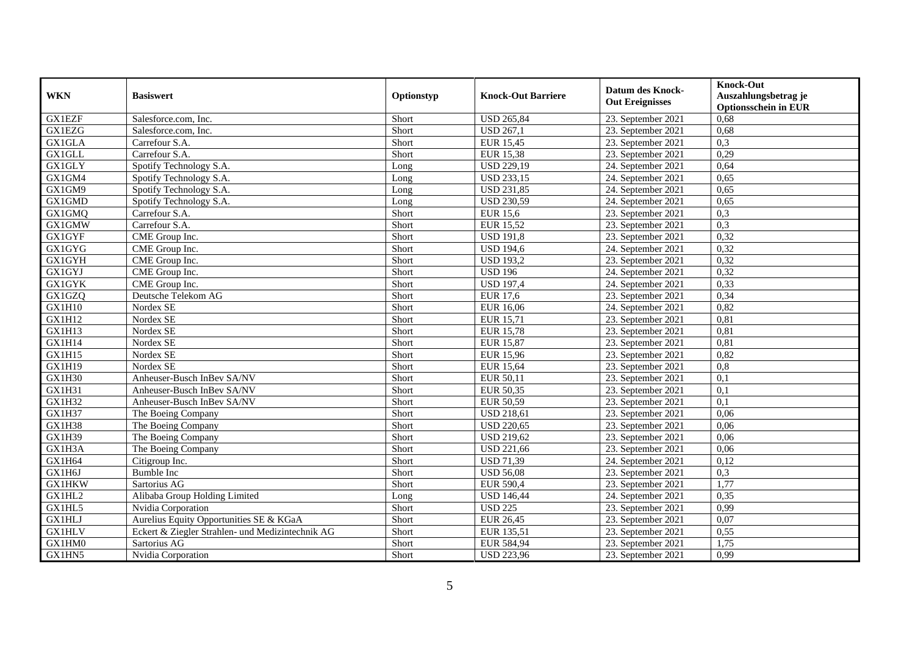| <b>WKN</b>          | <b>Basiswert</b>                                 | Optionstyp | <b>Knock-Out Barriere</b> | <b>Datum des Knock-</b><br><b>Out Ereignisses</b> | <b>Knock-Out</b><br>Auszahlungsbetrag je<br><b>Optionsschein in EUR</b> |
|---------------------|--------------------------------------------------|------------|---------------------------|---------------------------------------------------|-------------------------------------------------------------------------|
| <b>GX1EZF</b>       | Salesforce.com, Inc.                             | Short      | <b>USD 265,84</b>         | 23. September 2021                                | 0,68                                                                    |
| <b>GX1EZG</b>       | Salesforce.com. Inc.                             | Short      | $\overline{$ USD 267,1    | 23. September 2021                                | 0,68                                                                    |
| <b>GX1GLA</b>       | Carrefour S.A.                                   | Short      | <b>EUR 15,45</b>          | 23. September 2021                                | 0,3                                                                     |
| GX1GLL              | Carrefour S.A.                                   | Short      | <b>EUR 15,38</b>          | 23. September 2021                                | 0,29                                                                    |
| <b>GX1GLY</b>       | Spotify Technology S.A.                          | Long       | <b>USD 229,19</b>         | 24. September 2021                                | 0,64                                                                    |
| GX1GM4              | Spotify Technology S.A.                          | Long       | <b>USD 233,15</b>         | 24. September 2021                                | 0,65                                                                    |
| GX1GM9              | Spotify Technology S.A.                          | Long       | <b>USD 231,85</b>         | 24. September 2021                                | 0,65                                                                    |
| GX1GMD              | Spotify Technology S.A.                          | Long       | <b>USD 230,59</b>         | 24. September 2021                                | 0,65                                                                    |
| GX1GMQ              | Carrefour S.A.                                   | Short      | <b>EUR 15,6</b>           | 23. September 2021                                | 0,3                                                                     |
| GX1GMW              | Carrefour S.A.                                   | Short      | <b>EUR 15,52</b>          | 23. September 2021                                | 0,3                                                                     |
| <b>GX1GYF</b>       | CME Group Inc.                                   | Short      | <b>USD 191,8</b>          | 23. September 2021                                | 0,32                                                                    |
| <b>GX1GYG</b>       | CME Group Inc.                                   | Short      | <b>USD 194,6</b>          | 24. September 2021                                | 0,32                                                                    |
| <b>GX1GYH</b>       | CME Group Inc.                                   | Short      | <b>USD 193,2</b>          | 23. September 2021                                | 0,32                                                                    |
| GX1GYJ              | CME Group Inc.                                   | Short      | <b>USD 196</b>            | 24. September 2021                                | 0,32                                                                    |
| <b>GX1GYK</b>       | CME Group Inc.                                   | Short      | <b>USD 197,4</b>          | 24. September 2021                                | 0,33                                                                    |
| GX1GZQ              | Deutsche Telekom AG                              | Short      | <b>EUR 17,6</b>           | 23. September 2021                                | 0,34                                                                    |
| GX1H10              | Nordex SE                                        | Short      | <b>EUR 16,06</b>          | 24. September 2021                                | 0,82                                                                    |
| GX1H12              | Nordex SE                                        | Short      | <b>EUR 15,71</b>          | 23. September 2021                                | 0,81                                                                    |
| $GX1\overline{H13}$ | Nordex SE                                        | Short      | <b>EUR 15,78</b>          | 23. September 2021                                | 0,81                                                                    |
| GX1H14              | Nordex SE                                        | Short      | <b>EUR 15,87</b>          | 23. September 2021                                | 0,81                                                                    |
| GX1H15              | Nordex SE                                        | Short      | <b>EUR 15,96</b>          | 23. September 2021                                | 0,82                                                                    |
| <b>GX1H19</b>       | Nordex SE                                        | Short      | <b>EUR 15,64</b>          | 23. September 2021                                | 0,8                                                                     |
| GX1H30              | Anheuser-Busch InBev SA/NV                       | Short      | EUR 50,11                 | 23. September 2021                                | 0,1                                                                     |
| GX1H31              | Anheuser-Busch InBev SA/NV                       | Short      | EUR 50,35                 | 23. September 2021                                | 0,1                                                                     |
| GX1H32              | Anheuser-Busch InBev SA/NV                       | Short      | EUR 50,59                 | 23. September 2021                                | 0,1                                                                     |
| GX1H37              | The Boeing Company                               | Short      | <b>USD 218,61</b>         | 23. September 2021                                | 0,06                                                                    |
| GX1H38              | The Boeing Company                               | Short      | <b>USD 220,65</b>         | 23. September 2021                                | 0,06                                                                    |
| <b>GX1H39</b>       | The Boeing Company                               | Short      | <b>USD 219,62</b>         | 23. September 2021                                | 0,06                                                                    |
| GX1H3A              | The Boeing Company                               | Short      | <b>USD 221,66</b>         | 23. September 2021                                | 0,06                                                                    |
| GX1H64              | Citigroup Inc.                                   | Short      | <b>USD 71,39</b>          | 24. September 2021                                | 0,12                                                                    |
| GX1H6J              | <b>Bumble Inc</b>                                | Short      | <b>USD 56,08</b>          | 23. September 2021                                | 0,3                                                                     |
| <b>GX1HKW</b>       | Sartorius AG                                     | Short      | <b>EUR 590,4</b>          | 23. September 2021                                | 1,77                                                                    |
| GX1HL2              | Alibaba Group Holding Limited                    | Long       | <b>USD 146,44</b>         | 24. September 2021                                | 0,35                                                                    |
| GX1HL5              | Nvidia Corporation                               | Short      | <b>USD 225</b>            | 23. September 2021                                | 0,99                                                                    |
| <b>GX1HLJ</b>       | Aurelius Equity Opportunities SE & KGaA          | Short      | <b>EUR 26,45</b>          | 23. September 2021                                | 0,07                                                                    |
| <b>GX1HLV</b>       | Eckert & Ziegler Strahlen- und Medizintechnik AG | Short      | EUR 135,51                | 23. September 2021                                | 0,55                                                                    |
| GX1HM0              | Sartorius AG                                     | Short      | EUR 584,94                | 23. September 2021                                | 1,75                                                                    |
| GX1HN5              | Nvidia Corporation                               | Short      | <b>USD 223,96</b>         | 23. September 2021                                | 0,99                                                                    |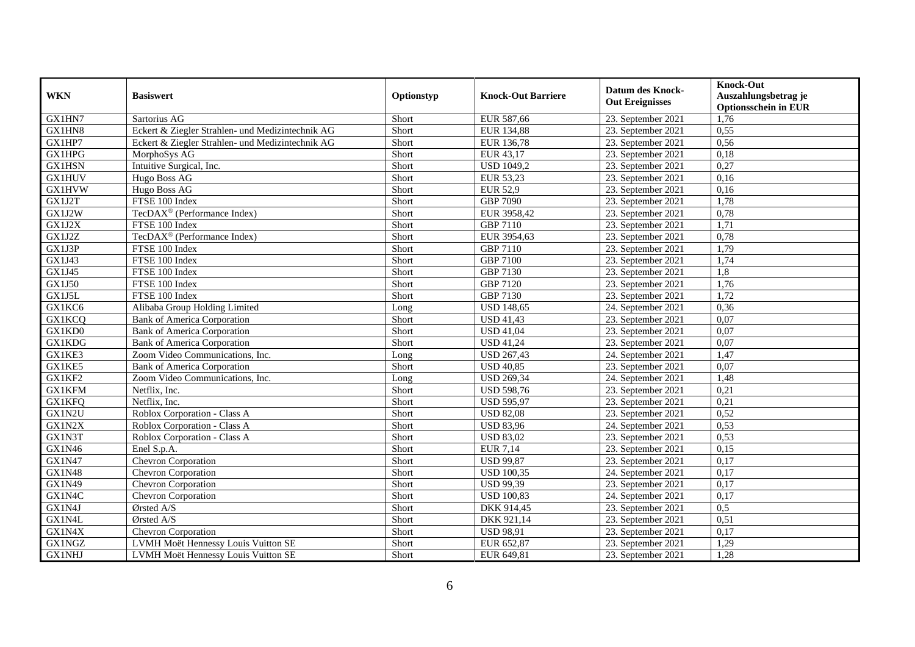| <b>WKN</b>          | <b>Basiswert</b>                                 | Optionstyp | <b>Knock-Out Barriere</b> | <b>Datum des Knock-</b><br><b>Out Ereignisses</b> | <b>Knock-Out</b><br>Auszahlungsbetrag je<br><b>Optionsschein in EUR</b> |
|---------------------|--------------------------------------------------|------------|---------------------------|---------------------------------------------------|-------------------------------------------------------------------------|
| GX1HN7              | Sartorius AG                                     | Short      | EUR 587,66                | 23. September 2021                                | 1,76                                                                    |
| GX1HN8              | Eckert & Ziegler Strahlen- und Medizintechnik AG | Short      | <b>EUR 134,88</b>         | 23. September 2021                                | 0,55                                                                    |
| GX1HP7              | Eckert & Ziegler Strahlen- und Medizintechnik AG | Short      | EUR 136,78                | 23. September 2021                                | 0,56                                                                    |
| <b>GX1HPG</b>       | MorphoSys AG                                     | Short      | EUR 43,17                 | 23. September 2021                                | 0,18                                                                    |
| <b>GX1HSN</b>       | Intuitive Surgical, Inc.                         | Short      | <b>USD 1049,2</b>         | 23. September 2021                                | 0,27                                                                    |
| <b>GX1HUV</b>       | Hugo Boss AG                                     | Short      | <b>EUR 53,23</b>          | 23. September 2021                                | 0,16                                                                    |
| GX1HVW              | Hugo Boss AG                                     | Short      | <b>EUR 52,9</b>           | 23. September 2021                                | 0,16                                                                    |
| GX1J2T              | FTSE 100 Index                                   | Short      | <b>GBP 7090</b>           | 23. September 2021                                | 1,78                                                                    |
| GX1J2W              | TecDAX <sup>®</sup> (Performance Index)          | Short      | EUR 3958,42               | 23. September 2021                                | 0,78                                                                    |
| GX1J2X              | FTSE 100 Index                                   | Short      | <b>GBP 7110</b>           | 23. September 2021                                | 1,71                                                                    |
| GX1J2Z              | TecDAX <sup>®</sup> (Performance Index)          | Short      | EUR 3954,63               | 23. September 2021                                | 0,78                                                                    |
| GX1J3P              | FTSE 100 Index                                   | Short      | <b>GBP 7110</b>           | 23. September 2021                                | 1,79                                                                    |
| GX1J43              | FTSE 100 Index                                   | Short      | <b>GBP 7100</b>           | 23. September 2021                                | 1,74                                                                    |
| GX1J45              | FTSE 100 Index                                   | Short      | GBP 7130                  | 23. September 2021                                | 1,8                                                                     |
| <b>GX1J50</b>       | FTSE 100 Index                                   | Short      | <b>GBP 7120</b>           | 23. September 2021                                | 1,76                                                                    |
| GX1J5L              | FTSE 100 Index                                   | Short      | GBP 7130                  | 23. September 2021                                | 1,72                                                                    |
| GX1KC6              | Alibaba Group Holding Limited                    | Long       | <b>USD 148,65</b>         | 24. September 2021                                | 0,36                                                                    |
| <b>GX1KCQ</b>       | <b>Bank of America Corporation</b>               | Short      | <b>USD 41,43</b>          | 23. September 2021                                | 0.07                                                                    |
| GX1KD0              | <b>Bank of America Corporation</b>               | Short      | <b>USD 41,04</b>          | 23. September 2021                                | 0,07                                                                    |
| GX1KDG              | <b>Bank of America Corporation</b>               | Short      | <b>USD 41,24</b>          | 23. September 2021                                | 0,07                                                                    |
| GX1KE3              | Zoom Video Communications, Inc.                  | Long       | <b>USD 267,43</b>         | 24. September 2021                                | 1,47                                                                    |
| GX1KE5              | <b>Bank of America Corporation</b>               | Short      | <b>USD 40,85</b>          | 23. September 2021                                | 0,07                                                                    |
| GX1KF2              | Zoom Video Communications, Inc.                  | Long       | <b>USD 269,34</b>         | 24. September 2021                                | 1,48                                                                    |
| <b>GX1KFM</b>       | Netflix, Inc.                                    | Short      | <b>USD 598,76</b>         | 23. September 2021                                | 0,21                                                                    |
| <b>GX1KFQ</b>       | Netflix. Inc.                                    | Short      | <b>USD 595,97</b>         | 23. September 2021                                | 0,21                                                                    |
| GX1N2U              | Roblox Corporation - Class A                     | Short      | <b>USD 82,08</b>          | 23. September 2021                                | 0,52                                                                    |
| GX1N2X              | Roblox Corporation - Class A                     | Short      | <b>USD 83,96</b>          | 24. September 2021                                | 0,53                                                                    |
| GX1N3T              | Roblox Corporation - Class A                     | Short      | <b>USD 83,02</b>          | 23. September 2021                                | 0,53                                                                    |
| GX1N46              | Enel S.p.A.                                      | Short      | <b>EUR 7,14</b>           | 23. September 2021                                | 0,15                                                                    |
| GX1N47              | Chevron Corporation                              | Short      | <b>USD 99,87</b>          | 23. September 2021                                | 0,17                                                                    |
| <b>GX1N48</b>       | Chevron Corporation                              | Short      | <b>USD 100,35</b>         | 24. September 2021                                | 0,17                                                                    |
| $GX1N\overline{49}$ | Chevron Corporation                              | Short      | <b>USD 99,39</b>          | 23. September 2021                                | 0,17                                                                    |
| GX1N4C              | Chevron Corporation                              | Short      | <b>USD 100,83</b>         | 24. September 2021                                | 0,17                                                                    |
| GX1N4J              | Ørsted A/S                                       | Short      | DKK 914,45                | 23. September 2021                                | 0,5                                                                     |
| GX1N4L              | Ørsted A/S                                       | Short      | DKK 921,14                | 23. September 2021                                | 0,51                                                                    |
| GX1N4X              | <b>Chevron Corporation</b>                       | Short      | <b>USD 98,91</b>          | 23. September 2021                                | 0,17                                                                    |
| GX1NGZ              | LVMH Moët Hennessy Louis Vuitton SE              | Short      | EUR 652,87                | 23. September 2021                                | 1,29                                                                    |
| <b>GX1NHJ</b>       | LVMH Moët Hennessy Louis Vuitton SE              | Short      | EUR 649,81                | 23. September 2021                                | 1,28                                                                    |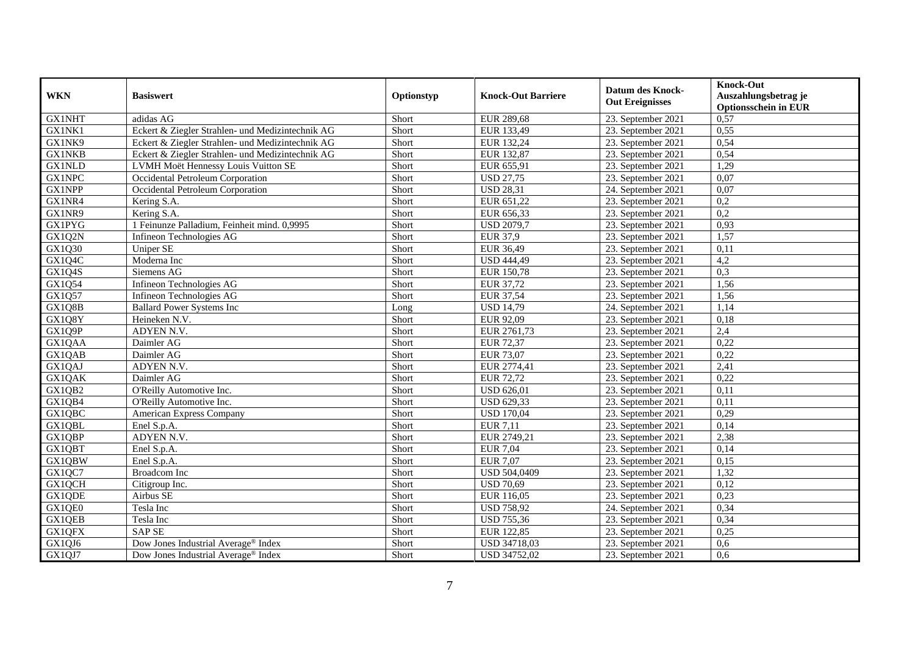| <b>WKN</b>    | <b>Basiswert</b>                                 | Optionstyp | <b>Knock-Out Barriere</b> | <b>Datum des Knock-</b><br><b>Out Ereignisses</b> | <b>Knock-Out</b><br>Auszahlungsbetrag je<br><b>Optionsschein in EUR</b> |
|---------------|--------------------------------------------------|------------|---------------------------|---------------------------------------------------|-------------------------------------------------------------------------|
| <b>GX1NHT</b> | adidas AG                                        | Short      | <b>EUR 289,68</b>         | 23. September 2021                                | 0,57                                                                    |
| GX1NK1        | Eckert & Ziegler Strahlen- und Medizintechnik AG | Short      | EUR 133,49                | 23. September 2021                                | 0,55                                                                    |
| GX1NK9        | Eckert & Ziegler Strahlen- und Medizintechnik AG | Short      | EUR 132,24                | 23. September 2021                                | 0,54                                                                    |
| <b>GX1NKB</b> | Eckert & Ziegler Strahlen- und Medizintechnik AG | Short      | EUR 132,87                | 23. September 2021                                | 0,54                                                                    |
| <b>GX1NLD</b> | LVMH Moët Hennessy Louis Vuitton SE              | Short      | EUR 655,91                | 23. September 2021                                | 1,29                                                                    |
| GX1NPC        | Occidental Petroleum Corporation                 | Short      | <b>USD 27,75</b>          | 23. September 2021                                | 0,07                                                                    |
| GX1NPP        | Occidental Petroleum Corporation                 | Short      | <b>USD 28,31</b>          | 24. September 2021                                | 0,07                                                                    |
| GX1NR4        | Kering S.A.                                      | Short      | EUR 651,22                | 23. September 2021                                | 0,2                                                                     |
| GX1NR9        | Kering S.A.                                      | Short      | EUR 656,33                | 23. September 2021                                | 0,2                                                                     |
| <b>GX1PYG</b> | 1 Feinunze Palladium, Feinheit mind. 0,9995      | Short      | <b>USD 2079,7</b>         | 23. September 2021                                | 0,93                                                                    |
| GX1Q2N        | Infineon Technologies AG                         | Short      | <b>EUR 37,9</b>           | 23. September 2021                                | 1,57                                                                    |
| GX1Q30        | <b>Uniper SE</b>                                 | Short      | <b>EUR 36,49</b>          | 23. September 2021                                | 0,11                                                                    |
| GX1Q4C        | Moderna Inc                                      | Short      | <b>USD 444,49</b>         | 23. September 2021                                | 4,2                                                                     |
| GX1Q4S        | Siemens AG                                       | Short      | EUR 150,78                | 23. September 2021                                | 0,3                                                                     |
| GX1Q54        | Infineon Technologies AG                         | Short      | EUR 37,72                 | 23. September 2021                                | 1,56                                                                    |
| GX1Q57        | Infineon Technologies AG                         | Short      | <b>EUR 37,54</b>          | 23. September 2021                                | 1,56                                                                    |
| GX1Q8B        | <b>Ballard Power Systems Inc</b>                 | Long       | <b>USD 14,79</b>          | 24. September 2021                                | 1,14                                                                    |
| GX1Q8Y        | Heineken N.V.                                    | Short      | EUR 92,09                 | 23. September 2021                                | 0,18                                                                    |
| GX1Q9P        | ADYEN N.V.                                       | Short      | EUR 2761,73               | 23. September 2021                                | 2,4                                                                     |
| GX1QAA        | Daimler AG                                       | Short      | <b>EUR 72,37</b>          | 23. September 2021                                | 0,22                                                                    |
| GX1QAB        | Daimler AG                                       | Short      | <b>EUR 73,07</b>          | 23. September 2021                                | 0,22                                                                    |
| GX1QAJ        | ADYEN N.V.                                       | Short      | EUR 2774,41               | 23. September 2021                                | 2,41                                                                    |
| GX1QAK        | Daimler AG                                       | Short      | <b>EUR 72,72</b>          | 23. September 2021                                | 0,22                                                                    |
| GX1QB2        | O'Reilly Automotive Inc.                         | Short      | <b>USD 626,01</b>         | 23. September 2021                                | 0,11                                                                    |
| GX1QB4        | O'Reilly Automotive Inc.                         | Short      | <b>USD 629,33</b>         | 23. September 2021                                | 0.11                                                                    |
| GX1QBC        | <b>American Express Company</b>                  | Short      | <b>USD 170,04</b>         | 23. September 2021                                | 0,29                                                                    |
| GX1QBL        | Enel S.p.A.                                      | Short      | <b>EUR 7,11</b>           | 23. September 2021                                | 0,14                                                                    |
| GX1QBP        | ADYEN N.V.                                       | Short      | EUR 2749,21               | 23. September 2021                                | 2,38                                                                    |
| GX1QBT        | Enel S.p.A.                                      | Short      | <b>EUR 7,04</b>           | 23. September 2021                                | 0,14                                                                    |
| GX1QBW        | Enel S.p.A.                                      | Short      | <b>EUR 7,07</b>           | 23. September 2021                                | 0,15                                                                    |
| GX1QC7        | <b>Broadcom</b> Inc                              | Short      | USD 504,0409              | 23. September 2021                                | 1,32                                                                    |
| GX1QCH        | Citigroup Inc.                                   | Short      | <b>USD 70,69</b>          | 23. September 2021                                | 0,12                                                                    |
| GX1QDE        | Airbus SE                                        | Short      | EUR 116,05                | 23. September 2021                                | 0,23                                                                    |
| GX1QE0        | Tesla Inc                                        | Short      | <b>USD 758,92</b>         | 24. September 2021                                | 0,34                                                                    |
| GX1QEB        | Tesla Inc                                        | Short      | <b>USD 755,36</b>         | 23. September 2021                                | 0,34                                                                    |
| GX1QFX        | <b>SAP SE</b>                                    | Short      | EUR 122,85                | 23. September 2021                                | 0,25                                                                    |
| GX1QJ6        | Dow Jones Industrial Average <sup>®</sup> Index  | Short      | USD 34718,03              | 23. September 2021                                | 0,6                                                                     |
| GX1QJ7        | Dow Jones Industrial Average® Index              | Short      | USD 34752,02              | 23. September 2021                                | 0,6                                                                     |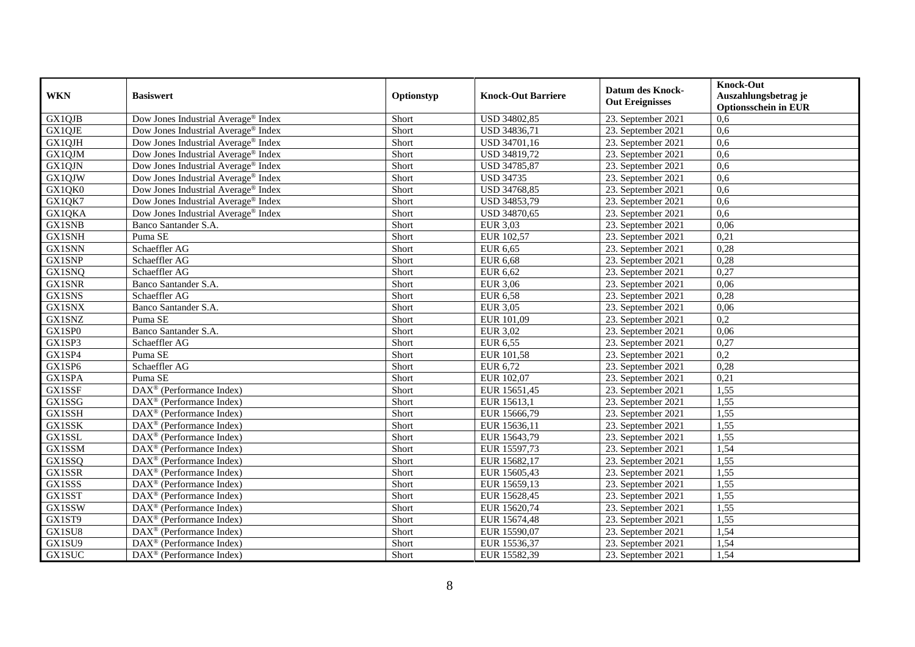| <b>WKN</b>    | <b>Basiswert</b>                                      | Optionstyp | <b>Knock-Out Barriere</b> | <b>Datum des Knock-</b><br><b>Out Ereignisses</b> | <b>Knock-Out</b><br>Auszahlungsbetrag je<br><b>Optionsschein in EUR</b> |
|---------------|-------------------------------------------------------|------------|---------------------------|---------------------------------------------------|-------------------------------------------------------------------------|
| GX1QJB        | Dow Jones Industrial Average <sup>®</sup> Index       | Short      | USD 34802,85              | 23. September 2021                                | 0,6                                                                     |
| GX1QJE        | Dow Jones Industrial Average <sup>®</sup> Index       | Short      | USD 34836,71              | 23. September 2021                                | 0,6                                                                     |
| GX1QJH        | Dow Jones Industrial Average <sup>®</sup> Index       | Short      | USD 34701,16              | 23. September 2021                                | 0,6                                                                     |
| GX1QJM        | Dow Jones Industrial Average <sup>®</sup> Index       | Short      | USD 34819,72              | 23. September 2021                                | 0,6                                                                     |
| GX1QJN        | Dow Jones Industrial Average® Index                   | Short      | <b>USD 34785,87</b>       | 23. September 2021                                | 0,6                                                                     |
| GX1QJW        | Dow Jones Industrial Average <sup>®</sup> Index       | Short      | <b>USD 34735</b>          | 23. September 2021                                | 0,6                                                                     |
| GX1QK0        | Dow Jones Industrial Average <sup>®</sup> Index       | Short      | USD 34768,85              | 23. September 2021                                | 0,6                                                                     |
| GX1QK7        | Dow Jones Industrial Average <sup>®</sup> Index       | Short      | USD 34853,79              | 23. September 2021                                | 0,6                                                                     |
| GX1QKA        | Dow Jones Industrial Average® Index                   | Short      | USD 34870,65              | 23. September 2021                                | 0.6                                                                     |
| <b>GX1SNB</b> | Banco Santander S.A.                                  | Short      | <b>EUR 3,03</b>           | 23. September 2021                                | 0,06                                                                    |
| <b>GX1SNH</b> | Puma SE                                               | Short      | EUR 102,57                | 23. September 2021                                | 0,21                                                                    |
| <b>GX1SNN</b> | Schaeffler AG                                         | Short      | EUR 6,65                  | 23. September 2021                                | 0,28                                                                    |
| <b>GX1SNP</b> | Schaeffler AG                                         | Short      | <b>EUR 6,68</b>           | 23. September 2021                                | 0,28                                                                    |
| <b>GX1SNQ</b> | Schaeffler AG                                         | Short      | <b>EUR 6,62</b>           | 23. September 2021                                | 0,27                                                                    |
| <b>GX1SNR</b> | Banco Santander S.A.                                  | Short      | <b>EUR 3,06</b>           | 23. September 2021                                | 0,06                                                                    |
| GX1SNS        | Schaeffler AG                                         | Short      | <b>EUR 6,58</b>           | 23. September 2021                                | 0,28                                                                    |
| <b>GX1SNX</b> | Banco Santander S.A.                                  | Short      | <b>EUR 3,05</b>           | 23. September 2021                                | 0,06                                                                    |
| GX1SNZ        | Puma SE                                               | Short      | EUR 101,09                | 23. September 2021                                | 0,2                                                                     |
| GX1SP0        | Banco Santander S.A.                                  | Short      | <b>EUR 3,02</b>           | 23. September 2021                                | 0,06                                                                    |
| GX1SP3        | Schaeffler AG                                         | Short      | EUR 6,55                  | 23. September 2021                                | 0,27                                                                    |
| GX1SP4        | Puma SE                                               | Short      | EUR 101,58                | 23. September 2021                                | 0,2                                                                     |
| GX1SP6        | Schaeffler AG                                         | Short      | EUR 6,72                  | 23. September 2021                                | 0,28                                                                    |
| <b>GX1SPA</b> | Puma SE                                               | Short      | EUR 102,07                | 23. September 2021                                | 0,21                                                                    |
| <b>GX1SSF</b> | DAX <sup>®</sup> (Performance Index)                  | Short      | EUR 15651,45              | 23. September 2021                                | 1,55                                                                    |
| GX1SSG        | DAX <sup>®</sup> (Performance Index)                  | Short      | EUR 15613,1               | 23. September 2021                                | 1,55                                                                    |
| GX1SSH        | $\text{DAX}^{\circledast}$ (Performance Index)        | Short      | EUR 15666,79              | 23. September 2021                                | 1,55                                                                    |
| GX1SSK        | DAX <sup>®</sup> (Performance Index)                  | Short      | EUR 15636,11              | 23. September 2021                                | 1,55                                                                    |
| <b>GX1SSL</b> | $DAX^{\circledR}$ (Performance Index)                 | Short      | EUR 15643,79              | 23. September 2021                                | 1,55                                                                    |
| <b>GX1SSM</b> | $DAX^{\circledast}$ (Performance Index)               | Short      | EUR 15597,73              | 23. September 2021                                | 1,54                                                                    |
| GX1SSQ        | DAX <sup>®</sup> (Performance Index)                  | Short      | EUR 15682,17              | 23. September 2021                                | 1,55                                                                    |
| GX1SSR        | DAX <sup>®</sup> (Performance Index)                  | Short      | EUR 15605,43              | 23. September 2021                                | 1,55                                                                    |
| GX1SSS        | DAX <sup>®</sup> (Performance Index)                  | Short      | EUR 15659,13              | 23. September 2021                                | 1,55                                                                    |
| <b>GX1SST</b> | $DAX^{\circledast}$ (Performance Index)               | Short      | EUR 15628,45              | 23. September 2021                                | 1,55                                                                    |
| <b>GX1SSW</b> | $\overline{\text{DAX}^{\otimes}}$ (Performance Index) | Short      | EUR 15620,74              | 23. September 2021                                | 1,55                                                                    |
| GX1ST9        | $\text{DAX}^{\circledast}$ (Performance Index)        | Short      | EUR 15674,48              | 23. September 2021                                | 1,55                                                                    |
| GX1SU8        | DAX <sup>®</sup> (Performance Index)                  | Short      | EUR 15590,07              | 23. September 2021                                | 1,54                                                                    |
| GX1SU9        | DAX <sup>®</sup> (Performance Index)                  | Short      | EUR 15536,37              | 23. September 2021                                | 1,54                                                                    |
| <b>GX1SUC</b> | $DAX^{\circledast}$ (Performance Index)               | Short      | EUR 15582,39              | 23. September 2021                                | 1,54                                                                    |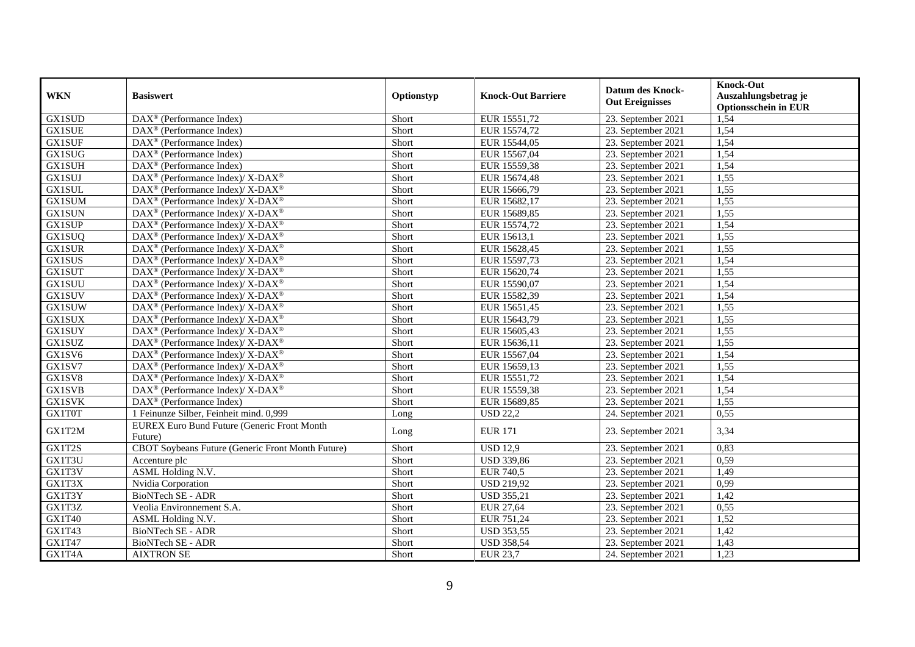| <b>WKN</b>    | <b>Basiswert</b>                                                  | Optionstyp | <b>Knock-Out Barriere</b> | <b>Datum des Knock-</b><br><b>Out Ereignisses</b> | <b>Knock-Out</b><br>Auszahlungsbetrag je<br><b>Optionsschein in EUR</b> |
|---------------|-------------------------------------------------------------------|------------|---------------------------|---------------------------------------------------|-------------------------------------------------------------------------|
| <b>GX1SUD</b> | DAX <sup>®</sup> (Performance Index)                              | Short      | EUR 15551,72              | 23. September 2021                                | 1,54                                                                    |
| <b>GX1SUE</b> | $\overline{\text{DAX}^{\otimes}}$ (Performance Index)             | Short      | EUR 15574,72              | 23. September 2021                                | 1,54                                                                    |
| <b>GX1SUF</b> | $DAX^{\circledcirc}$ (Performance Index)                          | Short      | EUR 15544,05              | 23. September 2021                                | 1,54                                                                    |
| <b>GX1SUG</b> | DAX <sup>®</sup> (Performance Index)                              | Short      | EUR 15567,04              | 23. September 2021                                | 1,54                                                                    |
| <b>GX1SUH</b> | $DAX^{\circledast}$ (Performance Index)                           | Short      | EUR 15559,38              | 23. September 2021                                | 1,54                                                                    |
| <b>GX1SUJ</b> | DAX <sup>®</sup> (Performance Index)/X-DAX <sup>®</sup>           | Short      | EUR 15674,48              | 23. September 2021                                | 1,55                                                                    |
| <b>GX1SUL</b> | DAX <sup>®</sup> (Performance Index)/X-DAX <sup>®</sup>           | Short      | EUR 15666,79              | 23. September 2021                                | 1,55                                                                    |
| <b>GX1SUM</b> | DAX <sup>®</sup> (Performance Index)/X-DAX <sup>®</sup>           | Short      | EUR 15682,17              | 23. September 2021                                | 1,55                                                                    |
| <b>GX1SUN</b> | $DAX^{\circledcirc}$ (Performance Index)/ X- $DAX^{\circledcirc}$ | Short      | EUR 15689,85              | 23. September 2021                                | 1,55                                                                    |
| <b>GX1SUP</b> | DAX <sup>®</sup> (Performance Index)/ X-DAX <sup>®</sup>          | Short      | EUR 15574,72              | 23. September 2021                                | 1,54                                                                    |
| <b>GX1SUQ</b> | DAX <sup>®</sup> (Performance Index)/X-DAX <sup>®</sup>           | Short      | EUR 15613,1               | 23. September 2021                                | 1,55                                                                    |
| <b>GX1SUR</b> | DAX <sup>®</sup> (Performance Index)/ X-DAX <sup>®</sup>          | Short      | EUR 15628,45              | 23. September 2021                                | 1,55                                                                    |
| <b>GX1SUS</b> | DAX <sup>®</sup> (Performance Index)/X-DAX <sup>®</sup>           | Short      | EUR 15597,73              | 23. September 2021                                | 1,54                                                                    |
| <b>GX1SUT</b> | DAX <sup>®</sup> (Performance Index)/X-DAX <sup>®</sup>           | Short      | EUR 15620,74              | 23. September 2021                                | 1,55                                                                    |
| <b>GX1SUU</b> | DAX <sup>®</sup> (Performance Index)/X-DAX <sup>®</sup>           | Short      | EUR 15590,07              | 23. September 2021                                | 1,54                                                                    |
| <b>GX1SUV</b> | DAX <sup>®</sup> (Performance Index)/ X-DAX <sup>®</sup>          | Short      | EUR 15582,39              | 23. September 2021                                | 1,54                                                                    |
| <b>GX1SUW</b> | DAX <sup>®</sup> (Performance Index)/X-DAX <sup>®</sup>           | Short      | EUR 15651,45              | 23. September 2021                                | 1,55                                                                    |
| <b>GX1SUX</b> | DAX <sup>®</sup> (Performance Index)/X-DAX <sup>®</sup>           | Short      | EUR 15643,79              | 23. September 2021                                | 1,55                                                                    |
| <b>GX1SUY</b> | DAX <sup>®</sup> (Performance Index)/X-DAX <sup>®</sup>           | Short      | EUR 15605,43              | 23. September 2021                                | 1,55                                                                    |
| GX1SUZ        | DAX <sup>®</sup> (Performance Index)/X-DAX <sup>®</sup>           | Short      | EUR 15636,11              | 23. September 2021                                | 1,55                                                                    |
| GX1SV6        | $DAX^{\circledast}$ (Performance Index)/X-DAX <sup>®</sup>        | Short      | EUR 15567,04              | 23. September 2021                                | 1,54                                                                    |
| GX1SV7        | DAX <sup>®</sup> (Performance Index)/X-DAX <sup>®</sup>           | Short      | EUR 15659,13              | 23. September 2021                                | 1,55                                                                    |
| GX1SV8        | DAX <sup>®</sup> (Performance Index)/ X-DAX <sup>®</sup>          | Short      | EUR 15551,72              | 23. September 2021                                | 1,54                                                                    |
| <b>GX1SVB</b> | DAX <sup>®</sup> (Performance Index)/X-DAX <sup>®</sup>           | Short      | EUR 15559,38              | 23. September 2021                                | 1,54                                                                    |
| <b>GX1SVK</b> | DAX <sup>®</sup> (Performance Index)                              | Short      | EUR 15689,85              | 23. September 2021                                | 1,55                                                                    |
| GX1T0T        | 1 Feinunze Silber, Feinheit mind. 0,999                           | Long       | <b>USD 22,2</b>           | 24. September 2021                                | 0,55                                                                    |
| GX1T2M        | EUREX Euro Bund Future (Generic Front Month<br>Future)            | Long       | <b>EUR 171</b>            | 23. September 2021                                | 3,34                                                                    |
| GX1T2S        | CBOT Soybeans Future (Generic Front Month Future)                 | Short      | <b>USD 12,9</b>           | 23. September 2021                                | 0,83                                                                    |
| GX1T3U        | Accenture plc                                                     | Short      | <b>USD 339,86</b>         | 23. September 2021                                | 0,59                                                                    |
| GX1T3V        | ASML Holding N.V.                                                 | Short      | <b>EUR 740,5</b>          | 23. September 2021                                | 1,49                                                                    |
| GX1T3X        | Nvidia Corporation                                                | Short      | <b>USD 219,92</b>         | 23. September 2021                                | 0,99                                                                    |
| GX1T3Y        | <b>BioNTech SE - ADR</b>                                          | Short      | <b>USD 355,21</b>         | 23. September 2021                                | 1,42                                                                    |
| GX1T3Z        | Veolia Environnement S.A.                                         | Short      | <b>EUR 27,64</b>          | 23. September 2021                                | 0,55                                                                    |
| GX1T40        | ASML Holding N.V.                                                 | Short      | EUR 751,24                | 23. September 2021                                | 1,52                                                                    |
| GX1T43        | <b>BioNTech SE - ADR</b>                                          | Short      | <b>USD 353,55</b>         | 23. September 2021                                | 1,42                                                                    |
| GX1T47        | BioNTech SE - ADR                                                 | Short      | <b>USD 358,54</b>         | 23. September 2021                                | 1,43                                                                    |
| GX1T4A        | <b>AIXTRON SE</b>                                                 | Short      | <b>EUR 23,7</b>           | 24. September 2021                                | 1,23                                                                    |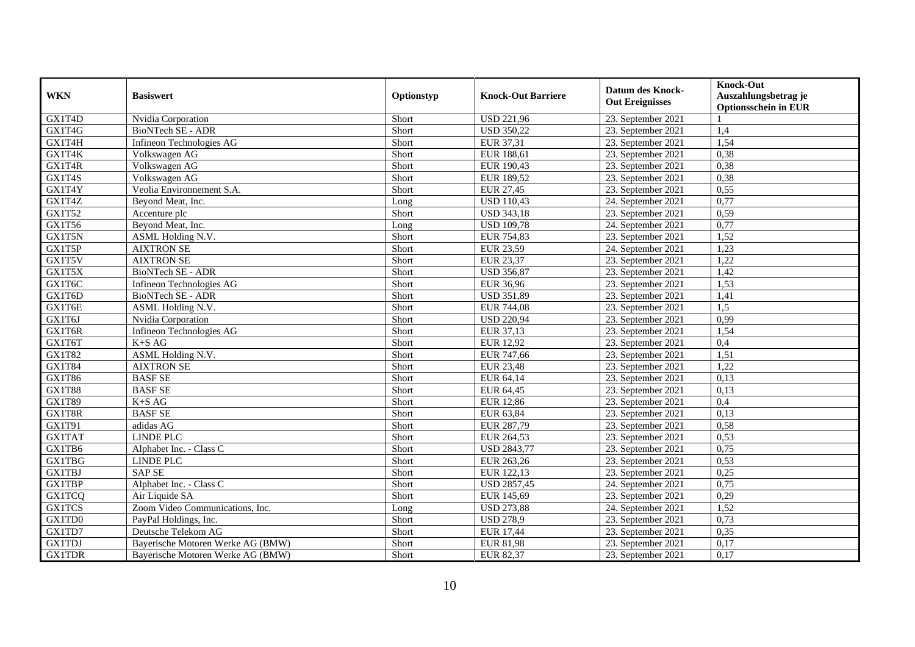| <b>WKN</b>    | <b>Basiswert</b>                  | Optionstyp | <b>Knock-Out Barriere</b> | <b>Datum des Knock-</b><br><b>Out Ereignisses</b> | <b>Knock-Out</b><br>Auszahlungsbetrag je<br><b>Optionsschein in EUR</b> |
|---------------|-----------------------------------|------------|---------------------------|---------------------------------------------------|-------------------------------------------------------------------------|
| GX1T4D        | Nvidia Corporation                | Short      | <b>USD 221,96</b>         | 23. September 2021                                |                                                                         |
| GX1T4G        | BioNTech SE - ADR                 | Short      | <b>USD 350,22</b>         | 23. September 2021                                | 1,4                                                                     |
| GX1T4H        | Infineon Technologies AG          | Short      | EUR 37,31                 | 23. September 2021                                | 1,54                                                                    |
| GX1T4K        | Volkswagen AG                     | Short      | EUR 188,61                | 23. September 2021                                | 0,38                                                                    |
| GX1T4R        | Volkswagen AG                     | Short      | EUR 190,43                | 23. September 2021                                | 0,38                                                                    |
| GX1T4S        | Volkswagen AG                     | Short      | EUR 189,52                | 23. September 2021                                | 0,38                                                                    |
| GX1T4Y        | Veolia Environnement S.A.         | Short      | <b>EUR 27,45</b>          | 23. September 2021                                | 0,55                                                                    |
| GX1T4Z        | Beyond Meat, Inc.                 | Long       | <b>USD 110,43</b>         | 24. September 2021                                | 0,77                                                                    |
| <b>GX1T52</b> | Accenture plc                     | Short      | <b>USD 343,18</b>         | 23. September 2021                                | 0,59                                                                    |
| GX1T56        | Beyond Meat, Inc.                 | Long       | <b>USD 109,78</b>         | 24. September 2021                                | 0,77                                                                    |
| GX1T5N        | ASML Holding N.V.                 | Short      | EUR 754,83                | 23. September 2021                                | 1,52                                                                    |
| GX1T5P        | <b>AIXTRON SE</b>                 | Short      | <b>EUR 23,59</b>          | 24. September 2021                                | 1,23                                                                    |
| GX1T5V        | <b>AIXTRON SE</b>                 | Short      | EUR 23,37                 | 23. September 2021                                | 1,22                                                                    |
| GX1T5X        | <b>BioNTech SE - ADR</b>          | Short      | <b>USD 356,87</b>         | 23. September 2021                                | 1,42                                                                    |
| GX1T6C        | Infineon Technologies AG          | Short      | <b>EUR 36,96</b>          | 23. September 2021                                | 1,53                                                                    |
| GX1T6D        | BioNTech SE - ADR                 | Short      | <b>USD 351,89</b>         | 23. September 2021                                | 1,41                                                                    |
| GX1T6E        | ASML Holding N.V.                 | Short      | EUR 744,08                | 23. September 2021                                | 1,5                                                                     |
| GX1T6J        | Nvidia Corporation                | Short      | <b>USD 220,94</b>         | 23. September 2021                                | 0,99                                                                    |
| GX1T6R        | Infineon Technologies AG          | Short      | EUR 37,13                 | 23. September 2021                                | 1,54                                                                    |
| GX1T6T        | $K+SAG$                           | Short      | <b>EUR 12,92</b>          | 23. September 2021                                | 0,4                                                                     |
| GX1T82        | <b>ASML Holding N.V.</b>          | Short      | EUR 747,66                | 23. September 2021                                | 1,51                                                                    |
| <b>GX1T84</b> | <b>AIXTRON SE</b>                 | Short      | <b>EUR 23,48</b>          | 23. September 2021                                | 1,22                                                                    |
| GX1T86        | <b>BASF SE</b>                    | Short      | EUR 64,14                 | 23. September 2021                                | 0,13                                                                    |
| <b>GX1T88</b> | <b>BASF SE</b>                    | Short      | EUR 64,45                 | 23. September 2021                                | 0,13                                                                    |
| GX1T89        | $K+SAG$                           | Short      | <b>EUR 12,86</b>          | 23. September 2021                                | 0,4                                                                     |
| GX1T8R        | <b>BASF SE</b>                    | Short      | EUR 63,84                 | 23. September 2021                                | 0,13                                                                    |
| GX1T91        | adidas AG                         | Short      | EUR 287,79                | 23. September 2021                                | 0,58                                                                    |
| <b>GX1TAT</b> | <b>LINDE PLC</b>                  | Short      | EUR 264,53                | 23. September 2021                                | 0,53                                                                    |
| GX1TB6        | Alphabet Inc. - Class C           | Short      | <b>USD 2843,77</b>        | 23. September 2021                                | 0,75                                                                    |
| <b>GX1TBG</b> | <b>LINDE PLC</b>                  | Short      | EUR 263,26                | 23. September 2021                                | 0,53                                                                    |
| <b>GX1TBJ</b> | <b>SAP SE</b>                     | Short      | EUR 122,13                | 23. September 2021                                | 0,25                                                                    |
| <b>GX1TBP</b> | Alphabet Inc. - Class C           | Short      | <b>USD 2857,45</b>        | 24. September 2021                                | 0,75                                                                    |
| <b>GX1TCQ</b> | Air Liquide SA                    | Short      | EUR 145,69                | 23. September 2021                                | 0,29                                                                    |
| <b>GX1TCS</b> | Zoom Video Communications, Inc.   | Long       | <b>USD 273,88</b>         | $24.$ September 2021                              | 1,52                                                                    |
| GX1TD0        | PayPal Holdings, Inc.             | Short      | <b>USD 278,9</b>          | 23. September 2021                                | 0,73                                                                    |
| GX1TD7        | Deutsche Telekom AG               | Short      | <b>EUR 17,44</b>          | 23. September 2021                                | 0,35                                                                    |
| <b>GX1TDJ</b> | Bayerische Motoren Werke AG (BMW) | Short      | <b>EUR 81,98</b>          | 23. September 2021                                | 0,17                                                                    |
| <b>GX1TDR</b> | Bayerische Motoren Werke AG (BMW) | Short      | EUR 82,37                 | 23. September 2021                                | 0,17                                                                    |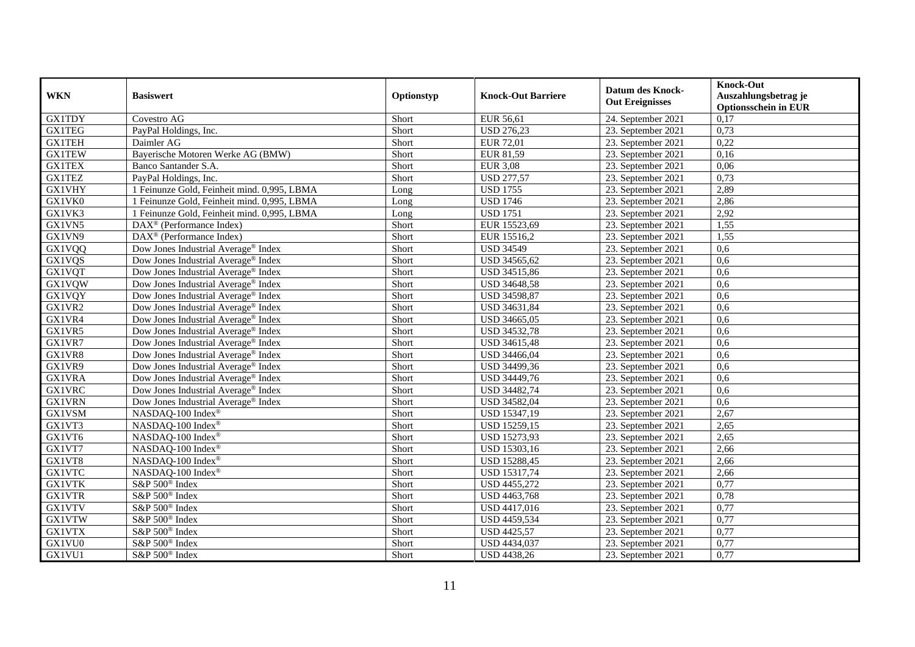| <b>WKN</b>    | <b>Basiswert</b>                                      | Optionstyp | <b>Knock-Out Barriere</b> | <b>Datum des Knock-</b><br><b>Out Ereignisses</b> | <b>Knock-Out</b><br>Auszahlungsbetrag je<br><b>Optionsschein in EUR</b> |
|---------------|-------------------------------------------------------|------------|---------------------------|---------------------------------------------------|-------------------------------------------------------------------------|
| <b>GX1TDY</b> | Covestro AG                                           | Short      | <b>EUR 56,61</b>          | 24. September 2021                                | 0,17                                                                    |
| <b>GX1TEG</b> | PayPal Holdings, Inc.                                 | Short      | <b>USD 276,23</b>         | 23. September 2021                                | 0,73                                                                    |
| <b>GX1TEH</b> | Daimler AG                                            | Short      | <b>EUR 72,01</b>          | 23. September 2021                                | 0,22                                                                    |
| <b>GX1TEW</b> | Bayerische Motoren Werke AG (BMW)                     | Short      | EUR 81,59                 | 23. September 2021                                | 0,16                                                                    |
| <b>GX1TEX</b> | Banco Santander S.A.                                  | Short      | <b>EUR 3,08</b>           | 23. September 2021                                | 0,06                                                                    |
| <b>GX1TEZ</b> | PayPal Holdings, Inc.                                 | Short      | <b>USD 277,57</b>         | 23. September 2021                                | 0,73                                                                    |
| <b>GX1VHY</b> | 1 Feinunze Gold, Feinheit mind. 0,995, LBMA           | Long       | <b>USD 1755</b>           | 23. September 2021                                | 2,89                                                                    |
| GX1VK0        | 1 Feinunze Gold, Feinheit mind. 0,995, LBMA           | Long       | <b>USD 1746</b>           | 23. September 2021                                | 2,86                                                                    |
| GX1VK3        | 1 Feinunze Gold, Feinheit mind. 0,995, LBMA           | Long       | <b>USD 1751</b>           | 23. September 2021                                | 2,92                                                                    |
| GX1VN5        | $\text{DAX}^{\textcircled{}}$ (Performance Index)     | Short      | EUR 15523,69              | 23. September 2021                                | 1,55                                                                    |
| GX1VN9        | $\overline{\text{DAX}^{\otimes}}$ (Performance Index) | Short      | EUR 15516,2               | 23. September 2021                                | 1,55                                                                    |
| GX1VQQ        | Dow Jones Industrial Average® Index                   | Short      | <b>USD 34549</b>          | 23. September 2021                                | 0,6                                                                     |
| <b>GX1VQS</b> | Dow Jones Industrial Average® Index                   | Short      | USD 34565,62              | 23. September 2021                                | 0,6                                                                     |
| <b>GX1VQT</b> | Dow Jones Industrial Average® Index                   | Short      | USD 34515,86              | 23. September 2021                                | 0,6                                                                     |
| <b>GX1VQW</b> | Dow Jones Industrial Average <sup>®</sup> Index       | Short      | USD 34648,58              | 23. September 2021                                | 0,6                                                                     |
| <b>GX1VQY</b> | Dow Jones Industrial Average® Index                   | Short      | USD 34598,87              | 23. September 2021                                | 0,6                                                                     |
| GX1VR2        | Dow Jones Industrial Average <sup>®</sup> Index       | Short      | USD 34631,84              | 23. September 2021                                | 0.6                                                                     |
| GX1VR4        | Dow Jones Industrial Average® Index                   | Short      | USD 34665,05              | 23. September 2021                                | 0,6                                                                     |
| GX1VR5        | Dow Jones Industrial Average <sup>®</sup> Index       | Short      | USD 34532,78              | 23. September 2021                                | 0,6                                                                     |
| GX1VR7        | Dow Jones Industrial Average® Index                   | Short      | USD 34615,48              | 23. September 2021                                | 0,6                                                                     |
| GX1VR8        | Dow Jones Industrial Average® Index                   | Short      | USD 34466,04              | 23. September 2021                                | 0,6                                                                     |
| GX1VR9        | Dow Jones Industrial Average <sup>®</sup> Index       | Short      | USD 34499,36              | 23. September 2021                                | 0,6                                                                     |
| <b>GX1VRA</b> | Dow Jones Industrial Average® Index                   | Short      | USD 34449,76              | 23. September 2021                                | 0,6                                                                     |
| <b>GX1VRC</b> | Dow Jones Industrial Average® Index                   | Short      | USD 34482,74              | 23. September 2021                                | 0,6                                                                     |
| <b>GX1VRN</b> | Dow Jones Industrial Average® Index                   | Short      | USD 34582,04              | 23. September 2021                                | 0,6                                                                     |
| GX1VSM        | NASDAQ-100 Index®                                     | Short      | USD 15347,19              | 23. September 2021                                | 2,67                                                                    |
| GX1VT3        | NASDAQ-100 Index®                                     | Short      | USD 15259,15              | 23. September 2021                                | 2,65                                                                    |
| GX1VT6        | NASDAQ-100 Index®                                     | Short      | USD 15273,93              | 23. September 2021                                | 2,65                                                                    |
| GX1VT7        | NASDAQ-100 Index®                                     | Short      | USD 15303,16              | 23. September 2021                                | 2,66                                                                    |
| GX1VT8        | NASDAQ-100 Index®                                     | Short      | USD 15288,45              | 23. September 2021                                | 2,66                                                                    |
| <b>GX1VTC</b> | NASDAQ-100 Index®                                     | Short      | <b>USD 15317,74</b>       | 23. September 2021                                | 2,66                                                                    |
| <b>GX1VTK</b> | S&P 500 <sup>®</sup> Index                            | Short      | USD 4455,272              | 23. September 2021                                | 0,77                                                                    |
| <b>GX1VTR</b> | S&P 500 <sup>®</sup> Index                            | Short      | USD 4463,768              | 23. September 2021                                | 0,78                                                                    |
| <b>GX1VTV</b> | S&P 500 <sup>®</sup> Index                            | Short      | USD 4417,016              | 23. September 2021                                | 0,77                                                                    |
| <b>GX1VTW</b> | S&P 500 <sup>®</sup> Index                            | Short      | USD 4459,534              | 23. September 2021                                | 0,77                                                                    |
| <b>GX1VTX</b> | S&P 500 <sup>®</sup> Index                            | Short      | <b>USD 4425,57</b>        | 23. September 2021                                | 0,77                                                                    |
| GX1VU0        | S&P 500 <sup>®</sup> Index                            | Short      | USD 4434,037              | 23. September 2021                                | 0,77                                                                    |
| GX1VU1        | S&P 500 <sup>®</sup> Index                            | Short      | <b>USD 4438,26</b>        | 23. September 2021                                | 0,77                                                                    |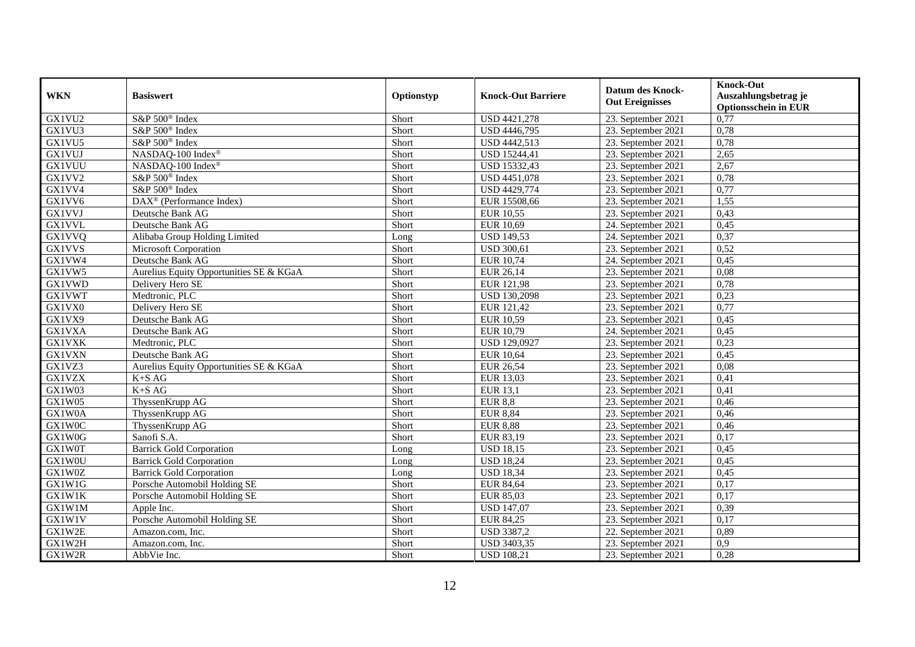| <b>WKN</b>          | <b>Basiswert</b>                        | Optionstyp | <b>Knock-Out Barriere</b> | <b>Datum des Knock-</b><br><b>Out Ereignisses</b> | <b>Knock-Out</b><br>Auszahlungsbetrag je<br><b>Optionsschein in EUR</b> |
|---------------------|-----------------------------------------|------------|---------------------------|---------------------------------------------------|-------------------------------------------------------------------------|
| GX1VU2              | S&P 500 <sup>®</sup> Index              | Short      | USD 4421,278              | 23. September 2021                                | 0,77                                                                    |
| GX1VU3              | S&P 500 <sup>®</sup> Index              | Short      | <b>USD 4446,795</b>       | 23. September 2021                                | 0,78                                                                    |
| GX1VU5              | S&P 500 <sup>®</sup> Index              | Short      | USD 4442,513              | 23. September 2021                                | 0,78                                                                    |
| <b>GX1VUJ</b>       | NASDAQ-100 Index®                       | Short      | USD 15244,41              | 23. September 2021                                | 2,65                                                                    |
| <b>GX1VUU</b>       | NASDAQ-100 Index®                       | Short      | USD 15332,43              | 23. September 2021                                | 2,67                                                                    |
| GX1VV2              | S&P 500 <sup>®</sup> Index              | Short      | USD 4451,078              | 23. September 2021                                | 0,78                                                                    |
| GX1VV4              | S&P 500 <sup>®</sup> Index              | Short      | USD 4429,774              | 23. September 2021                                | 0,77                                                                    |
| GX1VV6              | DAX <sup>®</sup> (Performance Index)    | Short      | EUR 15508,66              | 23. September 2021                                | 1,55                                                                    |
| <b>GX1VVJ</b>       | Deutsche Bank AG                        | Short      | <b>EUR 10,55</b>          | 23. September 2021                                | 0,43                                                                    |
| <b>GX1VVL</b>       | Deutsche Bank AG                        | Short      | <b>EUR 10,69</b>          | 24. September 2021                                | 0,45                                                                    |
| GX1VVQ              | Alibaba Group Holding Limited           | Long       | <b>USD 149,53</b>         | 24. September 2021                                | 0,37                                                                    |
| <b>GX1VVS</b>       | Microsoft Corporation                   | Short      | <b>USD 300,61</b>         | 23. September 2021                                | 0,52                                                                    |
| GX1VW4              | Deutsche Bank AG                        | Short      | <b>EUR 10,74</b>          | 24. September 2021                                | 0,45                                                                    |
| GX1VW5              | Aurelius Equity Opportunities SE & KGaA | Short      | EUR 26,14                 | 23. September 2021                                | 0,08                                                                    |
| <b>GX1VWD</b>       | Delivery Hero SE                        | Short      | EUR 121,98                | 23. September 2021                                | 0,78                                                                    |
| <b>GX1VWT</b>       | Medtronic, PLC                          | Short      | <b>USD 130,2098</b>       | 23. September 2021                                | 0,23                                                                    |
| GX1VX0              | Delivery Hero SE                        | Short      | EUR 121,42                | 23. September 2021                                | 0,77                                                                    |
| GX1VX9              | Deutsche Bank AG                        | Short      | <b>EUR 10,59</b>          | 23. September 2021                                | 0,45                                                                    |
| <b>GX1VXA</b>       | Deutsche Bank AG                        | Short      | EUR 10,79                 | 24. September 2021                                | 0,45                                                                    |
| <b>GX1VXK</b>       | Medtronic, PLC                          | Short      | USD 129,0927              | 23. September 2021                                | 0,23                                                                    |
| <b>GX1VXN</b>       | Deutsche Bank AG                        | Short      | <b>EUR 10,64</b>          | 23. September 2021                                | 0,45                                                                    |
| GX1VZ3              | Aurelius Equity Opportunities SE & KGaA | Short      | EUR 26,54                 | 23. September 2021                                | 0,08                                                                    |
| <b>GX1VZX</b>       | $K+SAG$                                 | Short      | EUR 13,03                 | 23. September 2021                                | 0,41                                                                    |
| GX1W03              | $K+SAG$                                 | Short      | <b>EUR 13,1</b>           | 23. September 2021                                | 0,41                                                                    |
| GX1W05              | ThyssenKrupp AG                         | Short      | <b>EUR 8,8</b>            | 23. September 2021                                | 0,46                                                                    |
| GX1W0A              | ThyssenKrupp AG                         | Short      | <b>EUR 8,84</b>           | 23. September 2021                                | 0,46                                                                    |
| GX1W0C              | ThyssenKrupp AG                         | Short      | <b>EUR 8,88</b>           | 23. September 2021                                | 0,46                                                                    |
| GX1W0G              | Sanofi S.A.                             | Short      | EUR 83,19                 | 23. September 2021                                | 0,17                                                                    |
| GX1W0T              | <b>Barrick Gold Corporation</b>         | Long       | <b>USD 18,15</b>          | 23. September 2021                                | 0,45                                                                    |
| GX1W0U              | <b>Barrick Gold Corporation</b>         | Long       | <b>USD 18,24</b>          | 23. September 2021                                | 0,45                                                                    |
| GX1W0Z              | <b>Barrick Gold Corporation</b>         | Long       | <b>USD 18,34</b>          | 23. September 2021                                | 0,45                                                                    |
| GX1W1G              | Porsche Automobil Holding SE            | Short      | <b>EUR 84,64</b>          | 23. September 2021                                | 0,17                                                                    |
| GX1W1K              | Porsche Automobil Holding SE            | Short      | <b>EUR 85,03</b>          | 23. September 2021                                | 0,17                                                                    |
| $GX1\overline{W1M}$ | Apple Inc.                              | Short      | <b>USD 147,07</b>         | 23. September 2021                                | 0,39                                                                    |
| GX1W1V              | Porsche Automobil Holding SE            | Short      | EUR 84,25                 | 23. September 2021                                | 0,17                                                                    |
| GX1W2E              | Amazon.com, Inc.                        | Short      | <b>USD 3387,2</b>         | 22. September 2021                                | 0,89                                                                    |
| GX1W2H              | Amazon.com, Inc.                        | Short      | <b>USD 3403,35</b>        | 23. September 2021                                | 0,9                                                                     |
| GX1W2R              | AbbVie Inc.                             | Short      | <b>USD 108,21</b>         | 23. September 2021                                | 0,28                                                                    |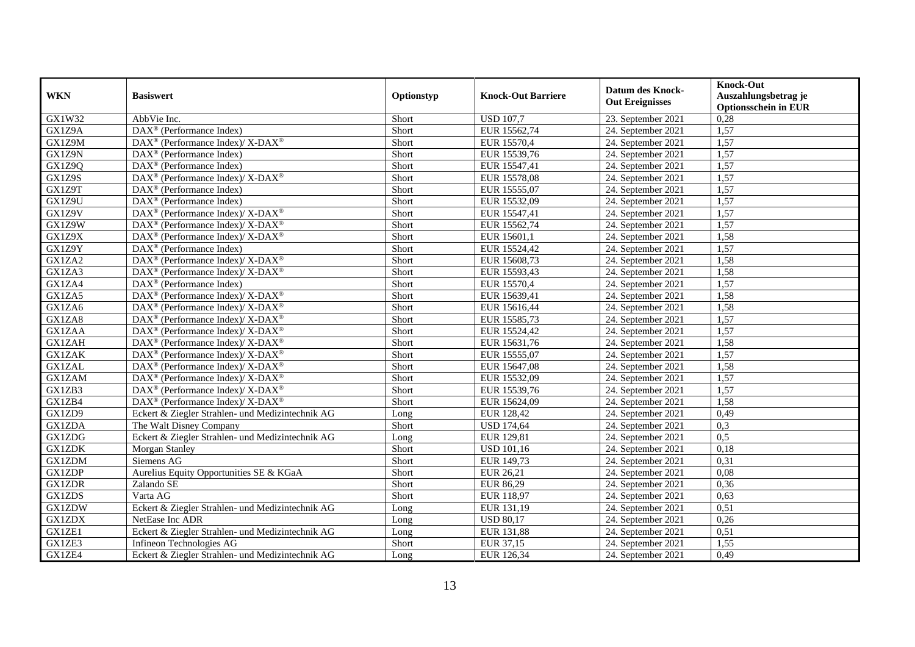| <b>WKN</b>    | <b>Basiswert</b>                                                                                                                                            | Optionstyp | <b>Knock-Out Barriere</b> | <b>Datum des Knock-</b><br><b>Out Ereignisses</b> | <b>Knock-Out</b><br>Auszahlungsbetrag je<br><b>Optionsschein in EUR</b> |
|---------------|-------------------------------------------------------------------------------------------------------------------------------------------------------------|------------|---------------------------|---------------------------------------------------|-------------------------------------------------------------------------|
| GX1W32        | AbbVie Inc.                                                                                                                                                 | Short      | <b>USD 107,7</b>          | 23. September 2021                                | 0,28                                                                    |
| GX1Z9A        | $\overline{\text{DAX}^{\otimes}}$ (Performance Index)                                                                                                       | Short      | EUR 15562,74              | 24. September 2021                                | 1,57                                                                    |
| GX1Z9M        | $\text{DAX}^{\circledR}$ (Performance Index)/ X-DAX <sup>®</sup>                                                                                            | Short      | EUR 15570,4               | 24. September 2021                                | 1,57                                                                    |
| GX1Z9N        | $\text{DAX}^{\textcircled{n}}$ (Performance Index)                                                                                                          | Short      | EUR 15539,76              | 24. September 2021                                | 1,57                                                                    |
| <b>GX1Z9Q</b> | DAX <sup>®</sup> (Performance Index)                                                                                                                        | Short      | EUR 15547,41              | 24. September 2021                                | 1,57                                                                    |
| GX1Z9S        | DAX <sup>®</sup> (Performance Index)/ X-DAX <sup>®</sup>                                                                                                    | Short      | EUR 15578,08              | 24. September 2021                                | 1,57                                                                    |
| GX1Z9T        | DAX <sup>®</sup> (Performance Index)                                                                                                                        | Short      | EUR 15555,07              | 24. September 2021                                | 1,57                                                                    |
| GX1Z9U        | $\text{DAX}^{\textcircled{n}}$ (Performance Index)                                                                                                          | Short      | EUR 15532,09              | 24. September 2021                                | 1,57                                                                    |
| GX1Z9V        | $\text{DAX}^{\circledast}$ (Performance Index)/ X-DAX <sup>®</sup>                                                                                          | Short      | EUR 15547,41              | 24. September 2021                                | 1,57                                                                    |
| GX1Z9W        | DAX <sup>®</sup> (Performance Index)/ X-DAX <sup>®</sup>                                                                                                    | Short      | EUR 15562,74              | 24. September 2021                                | 1,57                                                                    |
| GX1Z9X        | $\text{DAX}^{\otimes}$ (Performance Index)/X-DAX <sup>®</sup>                                                                                               | Short      | EUR 15601,1               | 24. September 2021                                | 1,58                                                                    |
| GX1Z9Y        | DAX <sup>®</sup> (Performance Index)                                                                                                                        | Short      | EUR 15524,42              | 24. September 2021                                | 1,57                                                                    |
| GX1ZA2        | $DAX^{\circledcirc}$ (Performance Index)/X-DAX <sup>®</sup>                                                                                                 | Short      | EUR 15608,73              | 24. September 2021                                | 1,58                                                                    |
| GX1ZA3        | DAX <sup>®</sup> (Performance Index)/ X-DAX <sup>®</sup>                                                                                                    | Short      | EUR 15593,43              | 24. September 2021                                | 1,58                                                                    |
| GX1ZA4        | DAX <sup>®</sup> (Performance Index)                                                                                                                        | Short      | EUR 15570,4               | 24. September 2021                                | 1,57                                                                    |
| GX1ZA5        | DAX <sup>®</sup> (Performance Index)/ X-DAX <sup>®</sup>                                                                                                    | Short      | EUR 15639,41              | 24. September 2021                                | 1,58                                                                    |
| GX1ZA6        | $DAX^{\circledcirc}$ (Performance Index)/X-DAX <sup>®</sup>                                                                                                 | Short      | EUR 15616,44              | 24. September 2021                                | 1,58                                                                    |
| GX1ZA8        | DAX <sup>®</sup> (Performance Index)/ X-DAX <sup>®</sup>                                                                                                    | Short      | EUR 15585,73              | 24. September 2021                                | 1,57                                                                    |
| <b>GX1ZAA</b> | $\text{DAX}^{\otimes}$ (Performance Index)/X-DAX <sup>®</sup>                                                                                               | Short      | EUR 15524,42              | 24. September 2021                                | 1,57                                                                    |
| <b>GX1ZAH</b> | $\text{DAX}^{\circledast}$ (Performance Index)/ X-DAX <sup>®</sup>                                                                                          | Short      | EUR 15631,76              | 24. September 2021                                | 1,58                                                                    |
| <b>GX1ZAK</b> | $\text{DAX}^{\circledR}$ (Performance Index)/ X-DAX <sup>®</sup>                                                                                            | Short      | EUR 15555,07              | 24. September 2021                                | 1,57                                                                    |
| <b>GX1ZAL</b> | $\text{DAX}^{\otimes}$ (Performance Index)/X-DAX <sup>®</sup>                                                                                               | Short      | EUR 15647,08              | 24. September 2021                                | 1,58                                                                    |
| <b>GX1ZAM</b> | DAX <sup>®</sup> (Performance Index)/ X-DAX <sup>®</sup>                                                                                                    | Short      | EUR 15532,09              | 24. September 2021                                | 1,57                                                                    |
| GX1ZB3        | $\text{DAX}^{\circledR}$ (Performance Index)/ X-DAX <sup>®</sup>                                                                                            | Short      | EUR 15539,76              | 24. September 2021                                | 1,57                                                                    |
| GX1ZB4        | $\text{DAX}^{\textcircled{\tiny{\textcircled{\tiny \dag}}}}$ (Performance Index)/ $\overline{\text{X-DAX}^{\textcircled{\tiny{\textcircled{\tiny \dag}}}}}$ | Short      | EUR 15624,09              | 24. September 2021                                | 1,58                                                                    |
| GX1ZD9        | Eckert & Ziegler Strahlen- und Medizintechnik AG                                                                                                            | Long       | EUR 128,42                | 24. September 2021                                | 0,49                                                                    |
| <b>GX1ZDA</b> | The Walt Disney Company                                                                                                                                     | Short      | <b>USD 174,64</b>         | 24. September 2021                                | 0,3                                                                     |
| <b>GX1ZDG</b> | Eckert & Ziegler Strahlen- und Medizintechnik AG                                                                                                            | Long       | EUR 129,81                | 24. September 2021                                | 0,5                                                                     |
| <b>GX1ZDK</b> | Morgan Stanley                                                                                                                                              | Short      | <b>USD 101,16</b>         | 24. September 2021                                | 0,18                                                                    |
| GX1ZDM        | Siemens AG                                                                                                                                                  | Short      | EUR 149,73                | 24. September 2021                                | 0,31                                                                    |
| <b>GX1ZDP</b> | Aurelius Equity Opportunities SE & KGaA                                                                                                                     | Short      | EUR 26,21                 | 24. September 2021                                | 0,08                                                                    |
| <b>GX1ZDR</b> | Zalando SE                                                                                                                                                  | Short      | EUR 86,29                 | 24. September 2021                                | 0,36                                                                    |
| <b>GX1ZDS</b> | Varta AG                                                                                                                                                    | Short      | EUR 118,97                | 24. September 2021                                | 0,63                                                                    |
| <b>GX1ZDW</b> | Eckert & Ziegler Strahlen- und Medizintechnik AG                                                                                                            | Long       | EUR 131,19                | 24. September 2021                                | 0,51                                                                    |
| <b>GX1ZDX</b> | NetEase Inc ADR                                                                                                                                             | Long       | <b>USD 80,17</b>          | 24. September 2021                                | 0,26                                                                    |
| GX1ZE1        | Eckert & Ziegler Strahlen- und Medizintechnik AG                                                                                                            | Long       | EUR 131,88                | 24. September 2021                                | 0,51                                                                    |
| GX1ZE3        | Infineon Technologies AG                                                                                                                                    | Short      | EUR 37,15                 | 24. September 2021                                | 1,55                                                                    |
| GX1ZE4        | Eckert & Ziegler Strahlen- und Medizintechnik AG                                                                                                            | Long       | EUR 126,34                | 24. September 2021                                | 0,49                                                                    |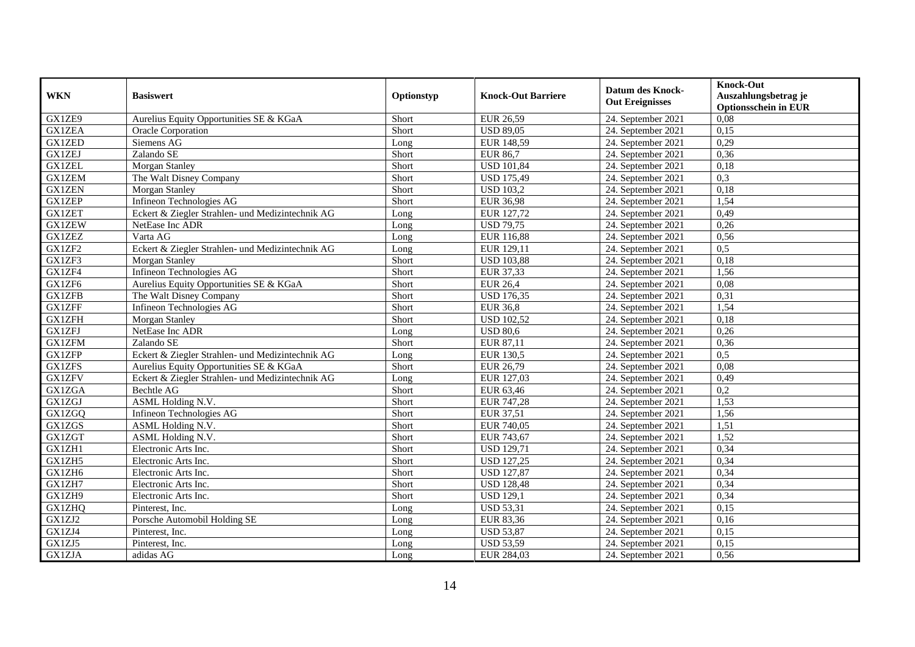| <b>WKN</b>    | <b>Basiswert</b>                                 | Optionstyp | <b>Knock-Out Barriere</b> | <b>Datum des Knock-</b><br><b>Out Ereignisses</b> | <b>Knock-Out</b><br>Auszahlungsbetrag je<br><b>Optionsschein in EUR</b> |
|---------------|--------------------------------------------------|------------|---------------------------|---------------------------------------------------|-------------------------------------------------------------------------|
| GX1ZE9        | Aurelius Equity Opportunities SE & KGaA          | Short      | <b>EUR 26,59</b>          | 24. September 2021                                | 0,08                                                                    |
| <b>GX1ZEA</b> | <b>Oracle Corporation</b>                        | Short      | <b>USD 89,05</b>          | 24. September 2021                                | 0,15                                                                    |
| <b>GX1ZED</b> | Siemens AG                                       | Long       | EUR 148,59                | 24. September 2021                                | 0,29                                                                    |
| <b>GX1ZEJ</b> | Zalando SE                                       | Short      | <b>EUR 86,7</b>           | 24. September 2021                                | 0,36                                                                    |
| <b>GX1ZEL</b> | Morgan Stanley                                   | Short      | <b>USD 101,84</b>         | 24. September 2021                                | 0,18                                                                    |
| <b>GX1ZEM</b> | The Walt Disney Company                          | Short      | <b>USD 175,49</b>         | 24. September 2021                                | 0,3                                                                     |
| <b>GX1ZEN</b> | Morgan Stanley                                   | Short      | <b>USD 103,2</b>          | 24. September 2021                                | 0,18                                                                    |
| <b>GX1ZEP</b> | Infineon Technologies AG                         | Short      | <b>EUR 36,98</b>          | 24. September 2021                                | 1,54                                                                    |
| <b>GX1ZET</b> | Eckert & Ziegler Strahlen- und Medizintechnik AG | Long       | EUR 127,72                | 24. September 2021                                | 0,49                                                                    |
| <b>GX1ZEW</b> | NetEase Inc ADR                                  | Long       | <b>USD 79,75</b>          | 24. September 2021                                | 0,26                                                                    |
| <b>GX1ZEZ</b> | Varta AG                                         | Long       | <b>EUR 116,88</b>         | 24. September 2021                                | 0,56                                                                    |
| GX1ZF2        | Eckert & Ziegler Strahlen- und Medizintechnik AG | Long       | EUR 129,11                | 24. September 2021                                | 0,5                                                                     |
| GX1ZF3        | <b>Morgan Stanley</b>                            | Short      | <b>USD 103,88</b>         | 24. September 2021                                | 0.18                                                                    |
| GX1ZF4        | Infineon Technologies AG                         | Short      | EUR 37,33                 | 24. September 2021                                | 1,56                                                                    |
| GX1ZF6        | Aurelius Equity Opportunities SE & KGaA          | Short      | <b>EUR 26,4</b>           | 24. September 2021                                | 0,08                                                                    |
| <b>GX1ZFB</b> | The Walt Disney Company                          | Short      | <b>USD 176,35</b>         | 24. September 2021                                | 0,31                                                                    |
| <b>GX1ZFF</b> | Infineon Technologies AG                         | Short      | <b>EUR 36,8</b>           | 24. September 2021                                | 1,54                                                                    |
| <b>GX1ZFH</b> | Morgan Stanley                                   | Short      | <b>USD</b> 102,52         | 24. September 2021                                | 0,18                                                                    |
| <b>GX1ZFJ</b> | NetEase Inc ADR                                  | Long       | <b>USD 80,6</b>           | 24. September 2021                                | 0,26                                                                    |
| <b>GX1ZFM</b> | Zalando SE                                       | Short      | EUR 87,11                 | 24. September 2021                                | 0,36                                                                    |
| <b>GX1ZFP</b> | Eckert & Ziegler Strahlen- und Medizintechnik AG | Long       | <b>EUR 130,5</b>          | 24. September 2021                                | 0,5                                                                     |
| <b>GX1ZFS</b> | Aurelius Equity Opportunities SE & KGaA          | Short      | EUR 26,79                 | 24. September 2021                                | 0,08                                                                    |
| <b>GX1ZFV</b> | Eckert & Ziegler Strahlen- und Medizintechnik AG | Long       | EUR 127,03                | 24. September 2021                                | 0,49                                                                    |
| GX1ZGA        | Bechtle AG                                       | Short      | EUR 63,46                 | 24. September 2021                                | 0,2                                                                     |
| GX1ZGJ        | ASML Holding N.V.                                | Short      | EUR 747,28                | 24. September 2021                                | 1,53                                                                    |
| GX1ZGQ        | Infineon Technologies AG                         | Short      | EUR 37,51                 | 24. September 2021                                | 1,56                                                                    |
| <b>GX1ZGS</b> | ASML Holding N.V.                                | Short      | EUR 740,05                | 24. September 2021                                | 1,51                                                                    |
| <b>GX1ZGT</b> | ASML Holding N.V.                                | Short      | EUR 743,67                | 24. September 2021                                | 1,52                                                                    |
| GX1ZH1        | Electronic Arts Inc.                             | Short      | <b>USD 129,71</b>         | 24. September 2021                                | 0,34                                                                    |
| GX1ZH5        | Electronic Arts Inc.                             | Short      | <b>USD 127,25</b>         | 24. September 2021                                | 0,34                                                                    |
| GX1ZH6        | Electronic Arts Inc.                             | Short      | <b>USD 127,87</b>         | 24. September 2021                                | 0,34                                                                    |
| GX1ZH7        | Electronic Arts Inc.                             | Short      | <b>USD 128,48</b>         | 24. September 2021                                | 0,34                                                                    |
| GX1ZH9        | Electronic Arts Inc.                             | Short      | <b>USD 129,1</b>          | 24. September 2021                                | 0,34                                                                    |
| GX1ZHQ        | Pinterest, Inc.                                  | Long       | <b>USD 53,31</b>          | 24. September 2021                                | 0,15                                                                    |
| GX1ZJ2        | Porsche Automobil Holding SE                     | Long       | <b>EUR 83,36</b>          | 24. September 2021                                | 0,16                                                                    |
| GX1ZJ4        | Pinterest, Inc.                                  | Long       | <b>USD 53,87</b>          | 24. September 2021                                | 0,15                                                                    |
| GX1ZJ5        | Pinterest, Inc.                                  | Long       | <b>USD 53,59</b>          | 24. September 2021                                | 0,15                                                                    |
| GX1ZJA        | adidas AG                                        | Long       | EUR 284,03                | 24. September 2021                                | 0,56                                                                    |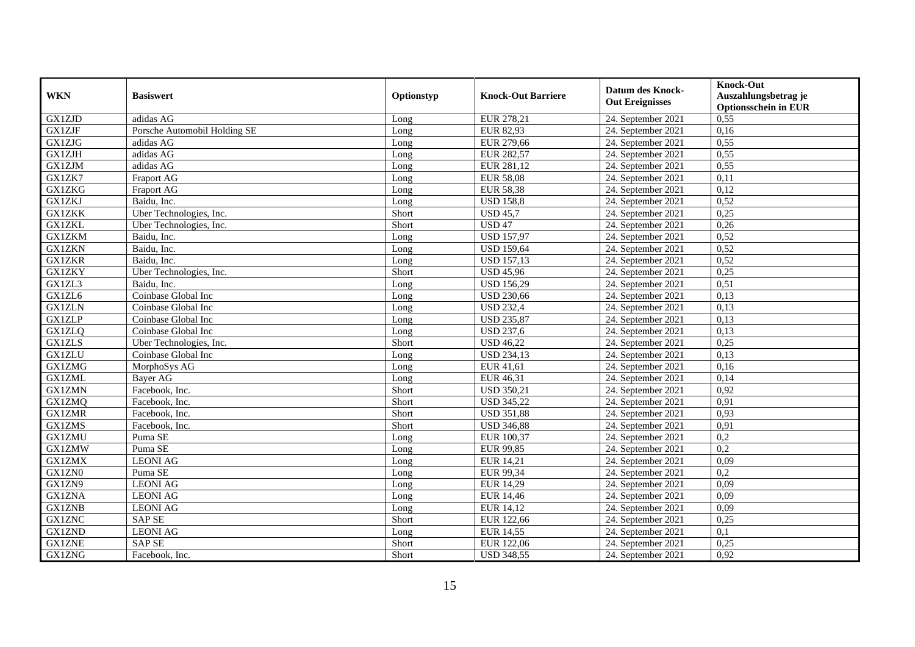| <b>WKN</b>    | <b>Basiswert</b>             | Optionstyp | <b>Knock-Out Barriere</b> | <b>Datum des Knock-</b><br><b>Out Ereignisses</b> | <b>Knock-Out</b><br>Auszahlungsbetrag je<br><b>Optionsschein in EUR</b> |
|---------------|------------------------------|------------|---------------------------|---------------------------------------------------|-------------------------------------------------------------------------|
| GX1ZJD        | adidas AG                    | Long       | EUR 278,21                | 24. September 2021                                | 0,55                                                                    |
| <b>GX1ZJF</b> | Porsche Automobil Holding SE | Long       | <b>EUR 82,93</b>          | 24. September 2021                                | 0,16                                                                    |
| <b>GX1ZJG</b> | adidas AG                    | Long       | EUR 279,66                | 24. September 2021                                | 0,55                                                                    |
| <b>GX1ZJH</b> | adidas AG                    | Long       | <b>EUR 282,57</b>         | 24. September 2021                                | 0,55                                                                    |
| <b>GX1ZJM</b> | adidas AG                    | Long       | EUR 281,12                | 24. September 2021                                | 0,55                                                                    |
| GX1ZK7        | Fraport AG                   | Long       | <b>EUR 58,08</b>          | 24. September 2021                                | 0,11                                                                    |
| <b>GX1ZKG</b> | <b>Fraport AG</b>            | Long       | <b>EUR 58,38</b>          | 24. September 2021                                | 0,12                                                                    |
| <b>GX1ZKJ</b> | Baidu, Inc.                  | Long       | <b>USD 158,8</b>          | 24. September 2021                                | 0,52                                                                    |
| <b>GX1ZKK</b> | Uber Technologies, Inc.      | Short      | <b>USD 45,7</b>           | 24. September 2021                                | 0,25                                                                    |
| <b>GX1ZKL</b> | Uber Technologies, Inc.      | Short      | <b>USD 47</b>             | 24. September 2021                                | 0,26                                                                    |
| <b>GX1ZKM</b> | Baidu, Inc.                  | Long       | <b>USD 157,97</b>         | 24. September 2021                                | 0,52                                                                    |
| <b>GX1ZKN</b> | Baidu, Inc.                  | Long       | <b>USD 159,64</b>         | 24. September 2021                                | 0,52                                                                    |
| <b>GX1ZKR</b> | Baidu, Inc.                  | Long       | <b>USD 157,13</b>         | 24. September 2021                                | 0,52                                                                    |
| GX1ZKY        | Uber Technologies, Inc.      | Short      | <b>USD 45,96</b>          | 24. September 2021                                | 0,25                                                                    |
| GX1ZL3        | Baidu, Inc.                  | Long       | <b>USD 156,29</b>         | 24. September 2021                                | 0,51                                                                    |
| GX1ZL6        | Coinbase Global Inc          | Long       | <b>USD 230,66</b>         | 24. September 2021                                | 0,13                                                                    |
| <b>GX1ZLN</b> | Coinbase Global Inc          | Long       | <b>USD 232,4</b>          | 24. September 2021                                | 0,13                                                                    |
| <b>GX1ZLP</b> | Coinbase Global Inc          | Long       | <b>USD 235,87</b>         | 24. September 2021                                | 0,13                                                                    |
| <b>GX1ZLQ</b> | Coinbase Global Inc          | Long       | <b>USD 237,6</b>          | 24. September 2021                                | 0,13                                                                    |
| <b>GX1ZLS</b> | Uber Technologies, Inc.      | Short      | <b>USD 46,22</b>          | 24. September 2021                                | 0,25                                                                    |
| <b>GX1ZLU</b> | Coinbase Global Inc          | Long       | <b>USD 234,13</b>         | 24. September 2021                                | 0,13                                                                    |
| <b>GX1ZMG</b> | MorphoSys AG                 | Long       | <b>EUR 41,61</b>          | 24. September 2021                                | 0,16                                                                    |
| <b>GX1ZML</b> | Bayer AG                     | Long       | EUR 46,31                 | 24. September 2021                                | 0,14                                                                    |
| <b>GX1ZMN</b> | Facebook, Inc.               | Short      | <b>USD 350,21</b>         | 24. September 2021                                | 0,92                                                                    |
| <b>GX1ZMQ</b> | Facebook, Inc.               | Short      | <b>USD 345,22</b>         | 24. September 2021                                | 0,91                                                                    |
| <b>GX1ZMR</b> | Facebook, Inc.               | Short      | <b>USD 351,88</b>         | 24. September 2021                                | 0,93                                                                    |
| <b>GX1ZMS</b> | Facebook, Inc.               | Short      | <b>USD 346,88</b>         | 24. September 2021                                | 0,91                                                                    |
| <b>GX1ZMU</b> | Puma SE                      | Long       | EUR 100,37                | 24. September 2021                                | 0,2                                                                     |
| <b>GX1ZMW</b> | Puma SE                      | Long       | EUR 99,85                 | 24. September 2021                                | $\overline{0.2}$                                                        |
| <b>GX1ZMX</b> | <b>LEONIAG</b>               | Long       | EUR 14,21                 | 24. September 2021                                | 0,09                                                                    |
| GX1ZN0        | Puma SE                      | Long       | EUR 99,34                 | 24. September 2021                                | 0,2                                                                     |
| GX1ZN9        | <b>LEONI AG</b>              | Long       | <b>EUR 14,29</b>          | 24. September 2021                                | 0,09                                                                    |
| <b>GX1ZNA</b> | <b>LEONI AG</b>              | Long       | <b>EUR 14,46</b>          | 24. September 2021                                | 0,09                                                                    |
| <b>GX1ZNB</b> | <b>LEONI AG</b>              | Long       | EUR 14,12                 | 24. September 2021                                | 0,09                                                                    |
| <b>GX1ZNC</b> | <b>SAP SE</b>                | Short      | EUR 122,66                | 24. September 2021                                | 0,25                                                                    |
| <b>GX1ZND</b> | <b>LEONI AG</b>              | Long       | <b>EUR 14,55</b>          | 24. September 2021                                | 0,1                                                                     |
| <b>GX1ZNE</b> | <b>SAP SE</b>                | Short      | EUR 122,06                | 24. September 2021                                | 0,25                                                                    |
| <b>GX1ZNG</b> | Facebook, Inc.               | Short      | <b>USD 348,55</b>         | 24. September 2021                                | 0,92                                                                    |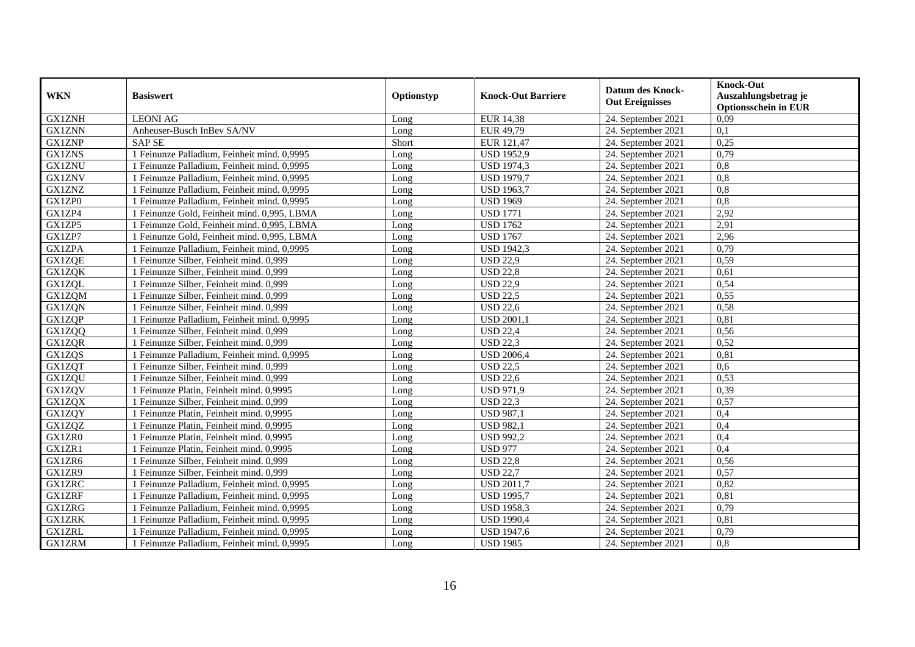| <b>WKN</b>    | <b>Basiswert</b>                            | Optionstyp | <b>Knock-Out Barriere</b> | <b>Datum des Knock-</b><br><b>Out Ereignisses</b> | <b>Knock-Out</b><br>Auszahlungsbetrag je<br><b>Optionsschein in EUR</b> |
|---------------|---------------------------------------------|------------|---------------------------|---------------------------------------------------|-------------------------------------------------------------------------|
| <b>GX1ZNH</b> | <b>LEONI AG</b>                             | Long       | <b>EUR 14,38</b>          | 24. September 2021                                | 0,09                                                                    |
| <b>GX1ZNN</b> | Anheuser-Busch InBev SA/NV                  | Long       | EUR 49,79                 | 24. September 2021                                | 0,1                                                                     |
| <b>GX1ZNP</b> | <b>SAP SE</b>                               | Short      | EUR 121,47                | 24. September 2021                                | 0,25                                                                    |
| <b>GX1ZNS</b> | 1 Feinunze Palladium, Feinheit mind. 0,9995 | Long       | <b>USD 1952,9</b>         | 24. September 2021                                | 0,79                                                                    |
| <b>GX1ZNU</b> | 1 Feinunze Palladium, Feinheit mind. 0,9995 | Long       | <b>USD 1974,3</b>         | 24. September 2021                                | 0,8                                                                     |
| <b>GX1ZNV</b> | 1 Feinunze Palladium, Feinheit mind. 0,9995 | Long       | <b>USD 1979,7</b>         | 24. September 2021                                | 0,8                                                                     |
| <b>GX1ZNZ</b> | 1 Feinunze Palladium, Feinheit mind. 0,9995 | Long       | <b>USD 1963,7</b>         | 24. September 2021                                | $\overline{0,8}$                                                        |
| GX1ZP0        | 1 Feinunze Palladium, Feinheit mind. 0,9995 | Long       | <b>USD 1969</b>           | 24. September 2021                                | 0,8                                                                     |
| GX1ZP4        | 1 Feinunze Gold, Feinheit mind. 0,995, LBMA | Long       | <b>USD 1771</b>           | 24. September 2021                                | 2,92                                                                    |
| GX1ZP5        | 1 Feinunze Gold, Feinheit mind. 0,995, LBMA | Long       | <b>USD 1762</b>           | 24. September 2021                                | 2,91                                                                    |
| GX1ZP7        | 1 Feinunze Gold, Feinheit mind. 0,995, LBMA | Long       | <b>USD 1767</b>           | 24. September 2021                                | 2,96                                                                    |
| <b>GX1ZPA</b> | 1 Feinunze Palladium, Feinheit mind. 0,9995 | Long       | <b>USD</b> 1942,3         | 24. September 2021                                | 0,79                                                                    |
| <b>GX1ZQE</b> | 1 Feinunze Silber, Feinheit mind. 0,999     | Long       | <b>USD 22,9</b>           | 24. September 2021                                | 0,59                                                                    |
| <b>GX1ZQK</b> | 1 Feinunze Silber, Feinheit mind. 0,999     | Long       | <b>USD 22,8</b>           | 24. September 2021                                | 0,61                                                                    |
| <b>GX1ZQL</b> | 1 Feinunze Silber, Feinheit mind. 0,999     | Long       | <b>USD 22,9</b>           | 24. September 2021                                | 0,54                                                                    |
| GX1ZQM        | 1 Feinunze Silber, Feinheit mind. 0,999     | Long       | <b>USD 22,5</b>           | 24. September 2021                                | 0,55                                                                    |
| <b>GX1ZQN</b> | 1 Feinunze Silber, Feinheit mind. 0,999     | Long       | <b>USD 22,6</b>           | 24. September 2021                                | 0,58                                                                    |
| <b>GX1ZOP</b> | 1 Feinunze Palladium. Feinheit mind. 0.9995 | Long       | <b>USD 2001,1</b>         | 24. September 2021                                | 0,81                                                                    |
| GX1ZQQ        | 1 Feinunze Silber, Feinheit mind. 0,999     | Long       | <b>USD 22,4</b>           | 24. September 2021                                | 0,56                                                                    |
| <b>GX1ZQR</b> | 1 Feinunze Silber, Feinheit mind. 0,999     | Long       | <b>USD 22,3</b>           | 24. September 2021                                | 0,52                                                                    |
| GX1ZQS        | 1 Feinunze Palladium, Feinheit mind. 0,9995 | Long       | <b>USD 2006,4</b>         | 24. September 2021                                | 0,81                                                                    |
| <b>GX1ZQT</b> | 1 Feinunze Silber, Feinheit mind. 0,999     | Long       | <b>USD 22,5</b>           | 24. September 2021                                | 0,6                                                                     |
| <b>GX1ZQU</b> | 1 Feinunze Silber, Feinheit mind. 0,999     | Long       | <b>USD 22,6</b>           | 24. September 2021                                | 0,53                                                                    |
| <b>GX1ZQV</b> | 1 Feinunze Platin, Feinheit mind. 0,9995    | Long       | <b>USD 971,9</b>          | 24. September 2021                                | 0,39                                                                    |
| <b>GX1ZQX</b> | 1 Feinunze Silber, Feinheit mind. 0,999     | Long       | <b>USD 22,3</b>           | 24. September 2021                                | 0,57                                                                    |
| <b>GX1ZQY</b> | 1 Feinunze Platin, Feinheit mind. 0,9995    | Long       | <b>USD 987,1</b>          | 24. September 2021                                | 0,4                                                                     |
| GX1ZQZ        | 1 Feinunze Platin, Feinheit mind. 0,9995    | Long       | <b>USD 982,1</b>          | 24. September 2021                                | 0,4                                                                     |
| GX1ZR0        | 1 Feinunze Platin, Feinheit mind, 0.9995    | Long       | <b>USD 992,2</b>          | 24. September 2021                                | 0,4                                                                     |
| GX1ZR1        | 1 Feinunze Platin, Feinheit mind. 0,9995    | Long       | <b>USD 977</b>            | 24. September 2021                                | 0,4                                                                     |
| GX1ZR6        | 1 Feinunze Silber, Feinheit mind. 0,999     | Long       | <b>USD 22,8</b>           | 24. September 2021                                | 0,56                                                                    |
| GX1ZR9        | 1 Feinunze Silber, Feinheit mind. 0,999     | Long       | <b>USD 22,7</b>           | 24. September 2021                                | 0,57                                                                    |
| <b>GX1ZRC</b> | 1 Feinunze Palladium, Feinheit mind. 0,9995 | Long       | <b>USD 2011,7</b>         | 24. September 2021                                | 0,82                                                                    |
| <b>GX1ZRF</b> | 1 Feinunze Palladium, Feinheit mind. 0,9995 | Long       | <b>USD 1995,7</b>         | 24. September 2021                                | 0,81                                                                    |
| <b>GX1ZRG</b> | 1 Feinunze Palladium, Feinheit mind. 0,9995 | Long       | <b>USD 1958,3</b>         | 24. September 2021                                | 0,79                                                                    |
| <b>GX1ZRK</b> | 1 Feinunze Palladium, Feinheit mind. 0,9995 | Long       | <b>USD 1990,4</b>         | 24. September 2021                                | 0,81                                                                    |
| <b>GX1ZRL</b> | 1 Feinunze Palladium, Feinheit mind. 0,9995 | Long       | <b>USD 1947,6</b>         | 24. September 2021                                | 0,79                                                                    |
| <b>GX1ZRM</b> | 1 Feinunze Palladium, Feinheit mind. 0,9995 | Long       | <b>USD 1985</b>           | 24. September 2021                                | $\overline{0,8}$                                                        |